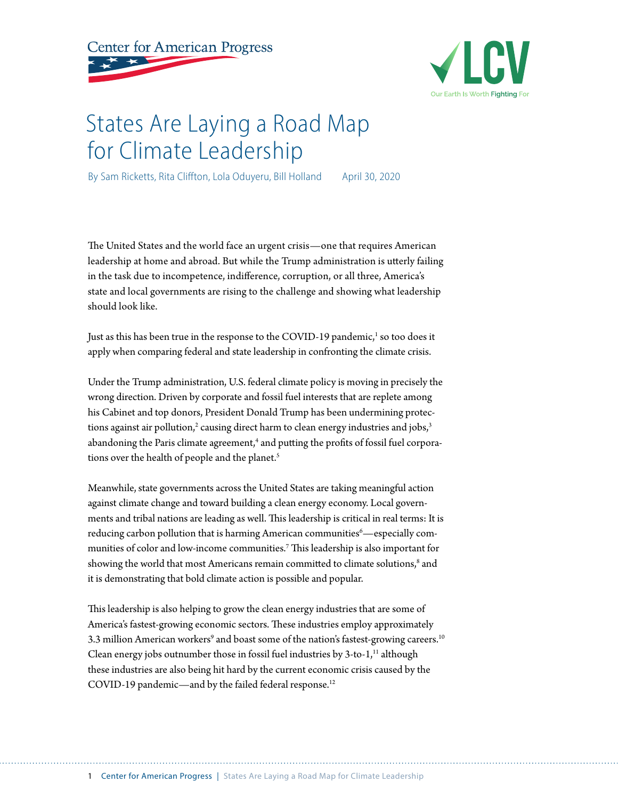



# States Are Laying a Road Map for Climate Leadership

By Sam Ricketts, Rita Cliffton, Lola Oduyeru, Bill Holland April 30, 2020

The United States and the world face an urgent crisis—one that requires American leadership at home and abroad. But while the Trump administration is utterly failing in the task due to incompetence, indifference, corruption, or all three, America's state and local governments are rising to the challenge and showing what leadership should look like.

Just as this has been true in the response to the COVID-19 pandemic,<sup>1</sup> so too does it apply when comparing federal and state leadership in confronting the climate crisis.

Under the Trump administration, U.S. federal climate policy is moving in precisely the wrong direction. Driven by corporate and fossil fuel interests that are replete among his Cabinet and top donors, President Donald Trump has been undermining protections against air pollution, $^2$  causing direct harm to clean energy industries and jobs, $^3$ abandoning the Paris climate agreement, $^4$  and putting the profits of fossil fuel corporations over the health of people and the planet.<sup>5</sup>

Meanwhile, state governments across the United States are taking meaningful action against climate change and toward building a clean energy economy. Local governments and tribal nations are leading as well. This leadership is critical in real terms: It is reducing carbon pollution that is harming American communities $\lq -$ especiall[y](https://www.americanprogress.org/issues/green/news/2020/02/27/480820/communities-color-bear-brunt-trumps-anti-environmental-agenda/) communities of color and low-income communities.7 This leadership is also important for showing the world that most Americans remain committed to climate solutions,<sup>8</sup> and it is demonstrating that bold climate action is possible and popular.

This leadership is also helping to grow the clean energy industries that are some of America's fastest-growing economic sectors. These industries employ approximately 3.3 million American workers $^9$  and boast some of the nation's fastest-growing careers.  $^{\rm 10}$ Clean energy jobs outnumber those in fossil fuel industries by  $3$ -to- $1$ ,<sup> $11$ </sup> although these industries are also being hit hard by the current economic crisis caused by the COVID-19 pandemic—and by the failed federal response.<sup>12</sup>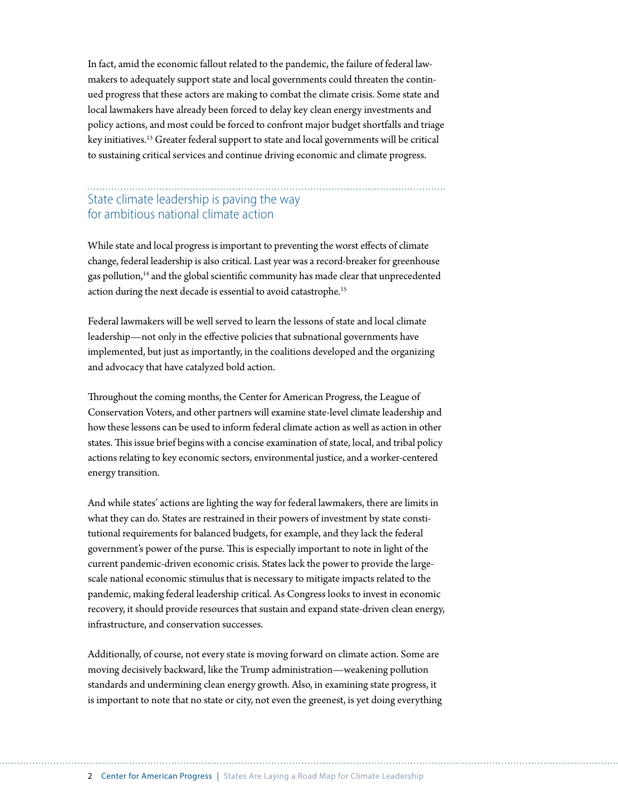In fact, amid the economic fallout related to the pandemic, the failure of federal lawmakers to adequately support state and local governments could threaten the continued progress that these actors are making to combat the climate crisis. Some state and local lawmakers have already been forced to delay key clean energy investments and policy actions, and most could be forced to confront major budget shortfalls and triage key initiatives.13 Greater federal support to state and local governments will be critical to sustaining critical services and continue driving economic and climate progress.

### State climate leadership is paving the way for ambitious national climate action

While state and local progress is important to preventing the worst effects of climate change, federal leadership is also critical. Last year was a record-breaker for greenhouse gas pollution, $14$  and the global scientific community has made clear that unprecedented action during the next decade is essential to avoid catastrophe.<sup>15</sup>

Federal lawmakers will be well served to learn the lessons of state and local climate leadership—not only in the effective policies that subnational governments have implemented, but just as importantly, in the coalitions developed and the organizing and advocacy that have catalyzed bold action.

Throughout the coming months, the Center for American Progress, the League of Conservation Voters, and other partners will examine state-level climate leadership and how these lessons can be used to inform federal climate action as well as action in other states. This issue brief begins with a concise examination of state, local, and tribal policy actions relating to key economic sectors, environmental justice, and a worker-centered energy transition.

And while states' actions are lighting the way for federal lawmakers, there are limits in what they can do. States are restrained in their powers of investment by state constitutional requirements for balanced budgets, for example, and they lack the federal government's power of the purse. This is especially important to note in light of the current pandemic-driven economic crisis. States lack the power to provide the largescale national economic stimulus that is necessary to mitigate impacts related to the pandemic, making federal leadership critical. As Congress looks to invest in economic recovery, it should provide resources that sustain and expand state-driven clean energy, infrastructure, and conservation successes.

Additionally, of course, not every state is moving forward on climate action. Some are moving decisively backward, like the Trump administration—weakening pollution standards and undermining clean energy growth. Also, in examining state progress, it is important to note that no state or city, not even the greenest, is yet doing everything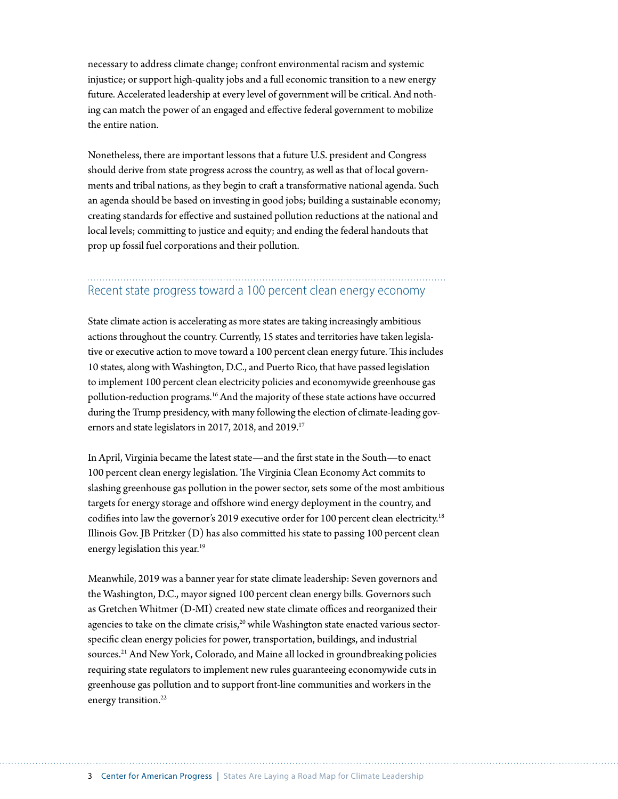necessary to address climate change; confront environmental racism and systemic injustice; or support high-quality jobs and a full economic transition to a new energy future. Accelerated leadership at every level of government will be critical. And nothing can match the power of an engaged and effective federal government to mobilize the entire nation.

Nonetheless, there are important lessons that a future U.S. president and Congress should derive from state progress across the country, as well as that of local governments and tribal nations, as they begin to craft a transformative national agenda. Such an agenda should be based on investing in good jobs; building a sustainable economy; creating standards for effective and sustained pollution reductions at the national and local levels; committing to justice and equity; and ending the federal handouts that prop up fossil fuel corporations and their pollution.

### Recent state progress toward a 100 percent clean energy economy

State climate action is accelerating as more states are taking increasingly ambitious actions throughout the country. Currently, 15 states and territories have taken legislative or executive action to move toward a 100 percent clean energy future. This includes 10 states, along with Washington, D.C., and Puerto Rico, that have passed legislation to implement 100 percent clean electricity policies and economywide greenhouse gas pollution-reduction programs.16 And the majority of these state actions have occurred during the Trump presidency, with many following the election of climate-leading governors and state legislators in 2017, 2018, and 2019.<sup>17</sup>

In April, Virginia became the latest state—and the first state in the South—to enact 100 percent clean energy legislation. The Virginia Clean Economy Act commits to slashing greenhouse gas pollution in the power sector, sets some of the most ambitious targets for energy storage and offshore wind energy deployment in the country, and codifies into law the governor's 2019 executive order for 100 percent clean electricity.18 Illinois Gov. JB Pritzker (D) has also committed his state to passing 100 percent clean energy legislation this year.<sup>19</sup>

Meanwhile, 2019 was a banner year for state climate leadership: Seven governors and the Washington, D.C., mayor signed 100 percent clean energy bills. Governors such as Gretchen Whitmer (D-MI) created new state [climate offices](https://insideclimatenews.org/news/05022019/michigan-whitmer-office-climate-change-energy-filnt-water-policies-climate-alliance) and reorganized their agencies to take on the climate crisis, $20$  while Washington state enacted various sectorspecific clean energy policies for power, transportation, buildings, and industrial sources.<sup>21</sup> And New York, Colorado, and Maine all locked in groundbreaking policies requiring state regulators to implement new rules guaranteeing economywide cuts in greenhouse gas pollution and to support front-line communities and workers in the energy transition.<sup>22</sup>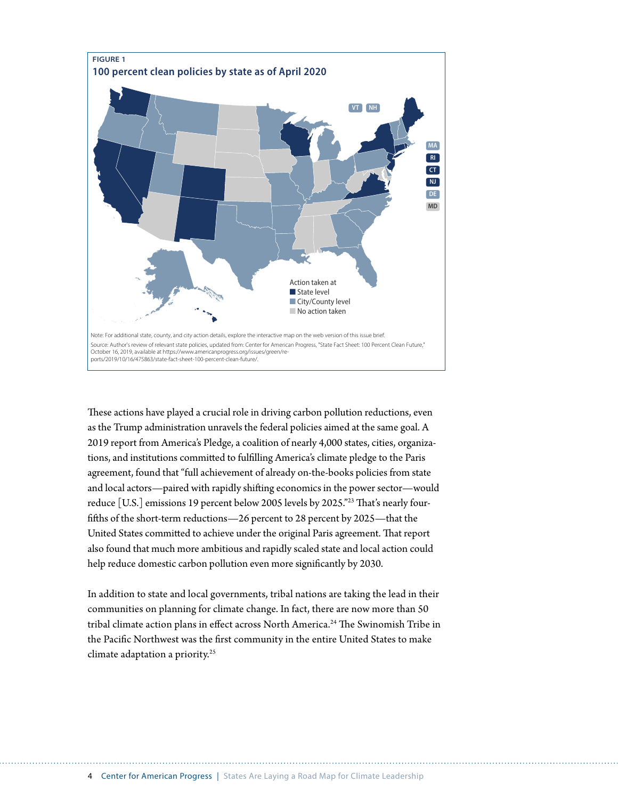

These actions have played a crucial role in driving carbon pollution reductions, even as the Trump administration unravels the federal policies aimed at the same goal. A 2019 report from America's Pledge, a coalition of nearly 4,000 states, cities, organizations, and institutions committed to fulfilling America's climate pledge to the Paris agreement, found that "full achievement of already on-the-books policies from state and local actors—paired with rapidly shifting economics in the power sector—would reduce [U.S.] emissions 19 percent below 2005 levels by 2025."23 That's nearly fourfifths of the short-term reductions—26 percent to 28 percent by 2025—that the United States committed to achieve under the original Paris agreement. That report also found that much more ambitious and rapidly scaled state and local action could help reduce domestic carbon pollution even more significantly by 2030.

In addition to state and local governments, tribal nations are taking the lead in their communities on planning for climate change. In fact, there are now more than 50 tribal climate action plans in effect across North America.<sup>24</sup> The Swinomish Tribe in the Pacific Northwest was the first community in the entire United States to make climate adaptation a priority.25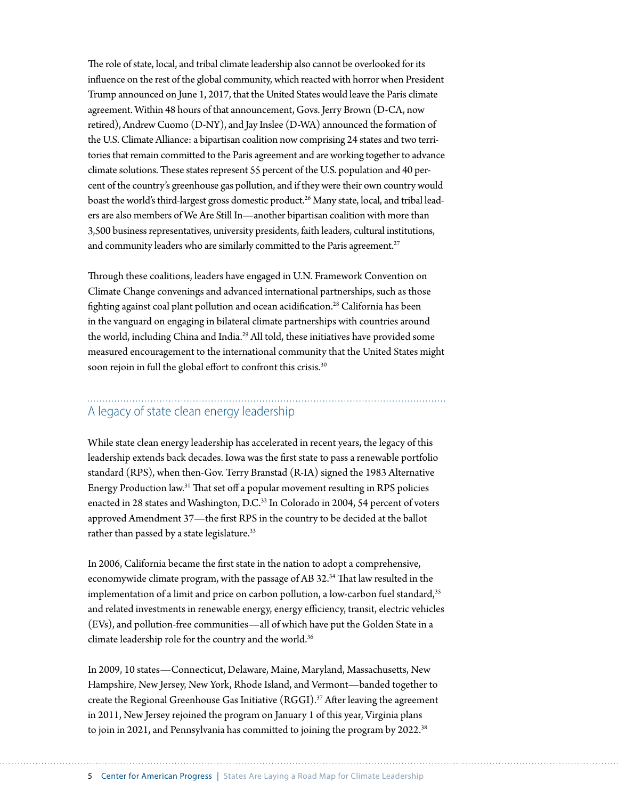The role of state, local, and tribal climate leadership also cannot be overlooked for its influence on the rest of the global community, which reacted with horror when President Trump announced on June 1, 2017, that the United States would leave the Paris climate agreement. Within 48 hours of that announcement, Govs. Jerry Brown (D-CA, now retired), Andrew Cuomo (D-NY), and Jay Inslee (D-WA) announced the formation of the U.S. Climate Alliance: a bipartisan coalition now comprising 24 states and two territories that remain committed to the Paris agreement and are working together to advance climate solutions. These states represent 55 percent of the U.S. population and 40 percent of the country's greenhouse gas pollution, and if they were their own country would boast the world's third-largest gross domestic product.<sup>26</sup> Many state, local, and tribal leaders are also members of We Are Still In—another bipartisan coalition with more than 3,500 business representatives, university presidents, faith leaders, cultural institutions, and community leaders who are similarly committed to the Paris agreement.<sup>27</sup>

Through these coalitions, leaders have engaged in U.N. Framework Convention on Climate Change convenings and advanced international partnerships, such as those fighting against coal plant pollution and ocean acidification.<sup>28</sup> California has been in the vanguard on engaging in bilateral [climate partnerships](https://www.energy.ca.gov/about/campaigns/international-cooperation/climate-change-partnerships) with countries around the world, including China and India.<sup>29</sup> All told, these initiatives have provided some measured encouragement to the international community that the United States might soon rejoin in full the global effort to confront this crisis.<sup>30</sup>

## A legacy of state clean energy leadership

While state clean energy leadership has accelerated in recent years, the legacy of this leadership extends back decades. Iowa was the first state to pass a renewable portfolio standard (RPS), when then-Gov. Terry Branstad (R-IA) signed the 1983 Alternative Energy Production law.31 That set off a popular movement resulting in RPS policies enacted in 28 states and Washington, D.C. $32$  In Colorado in 2004, 54 percent of voters approved Amendment 37—the first RPS in the country to be decided at the ballot rather than passed by a state legislature.<sup>33</sup>

In 2006, California became the first state in the nation to adopt a comprehensive, economywide climate program, with the passage of AB 32.34 That law resulted in the implementation of a limit and price on carbon pollution, a low-carbon fuel standard,<sup>35</sup> and related investments in renewable energy, energy efficiency, transit, electric vehicles (EVs), and pollution-free communities—all of which have put the Golden State in a climate leadership role for the country and the world.<sup>36</sup>

In 2009, 10 states—Connecticut, Delaware, Maine, Maryland, Massachusetts, New Hampshire, New Jersey, New York, Rhode Island, and Vermont—banded together to create the Regional Greenhouse Gas Initiative (RGGI).37 After leaving the agreement in 2011, New Jersey rejoined the program on January 1 of this year, Virginia plans to join in 2021, and [P](https://www.wri.org/blog/2019/10/pennsylvania-joining-rggi-heres-why-matters)ennsylvania has committed to joining the program by 2022.<sup>38</sup>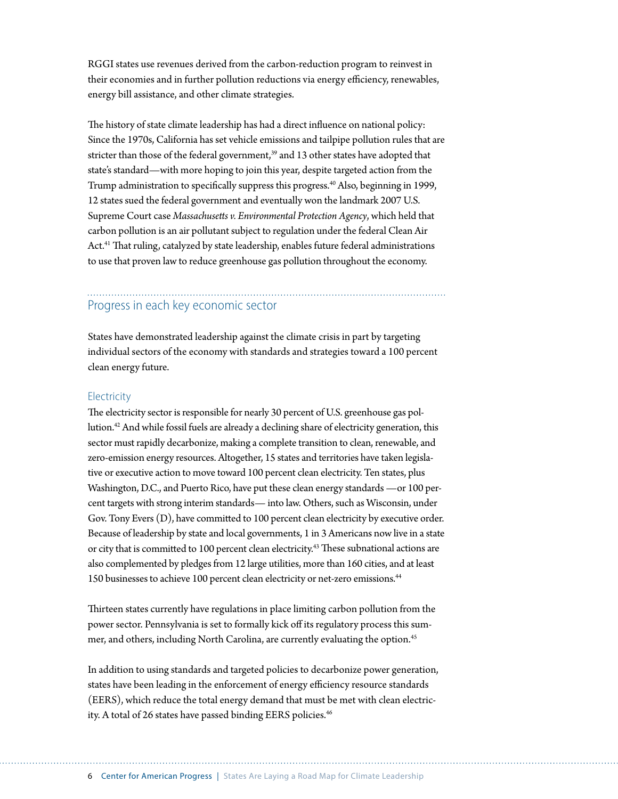RGGI states use revenues derived from the carbon-reduction program to reinvest in their economies and in further pollution reductions via energy efficiency, renewables, energy bill assistance, and other climate strategies.

The history of state climate leadership has had a direct influence on national policy: Since the 1970s, California has set vehicle emissions and tailpipe pollution rules that are stricter than those of the federal government,<sup>39</sup> and 13 other states have adopted that state's standard—with more hoping to join this year, despite targeted action from the Trump administration to specifically suppress this progress.<sup>40</sup> Also, beginning in 1999, 12 states sued the federal government and eventually won the landmark 2007 U.S. Supreme Court case *Massachusetts v. Environmental Protection Agency*, which held that carbon pollution is an air pollutant subject to regulation under the federal Clean Air Act.<sup>41</sup> That ruling, catalyzed by state leadership, enables future federal administrations to use that proven law to reduce greenhouse gas pollution throughout the economy.

### Progress in each key economic sector

States have demonstrated leadership against the climate crisis in part by targeting individual sectors of the economy with standards and strategies toward a 100 percent clean energy future.

#### **Electricity**

The electricity sector is responsible for nearly 30 percent of U.S. greenhouse gas pollution.42 And while fossil fuels are already a declining share of electricity generation, this sector must rapidly decarbonize, making a complete transition to clean, renewable, and zero-emission energy resources. Altogether, 15 states and territories have taken legislative or executive action to move toward 100 percent clean electricity. Ten states, plus Washington, D.C., and Puerto Rico, have put these clean energy standards —or 100 percent targets with strong interim standards— into law. Others, such as Wisconsin, under Gov. Tony Evers (D), have committed to 100 percent clean electricity by executive order. Because of leadership by state and local governments, 1 in 3 Americans now live in a state or city that is committed to 100 percent clean electricity.<sup>43</sup> These subnational actions are also complemented by pledges from 12 large utilities, more than 160 cities, and at least 150 businesses to achieve 100 percent clean electricity or net-zero emissions.<sup>44</sup>

Thirteen states currently have regulations in place limiting carbon pollution from the power sector. Pennsylvania is set to formally kick off its regulatory process this summer, and others, including North Carolina, are currently evaluating the option.<sup>45</sup>

In addition to using standards and targeted policies to decarbonize power generation, states have been leading in the enforcement of energy efficiency resource standards (EERS), which reduce the total energy demand that must be met with clean electricity. A total of 26 states have passed binding EERS policies.<sup>46</sup>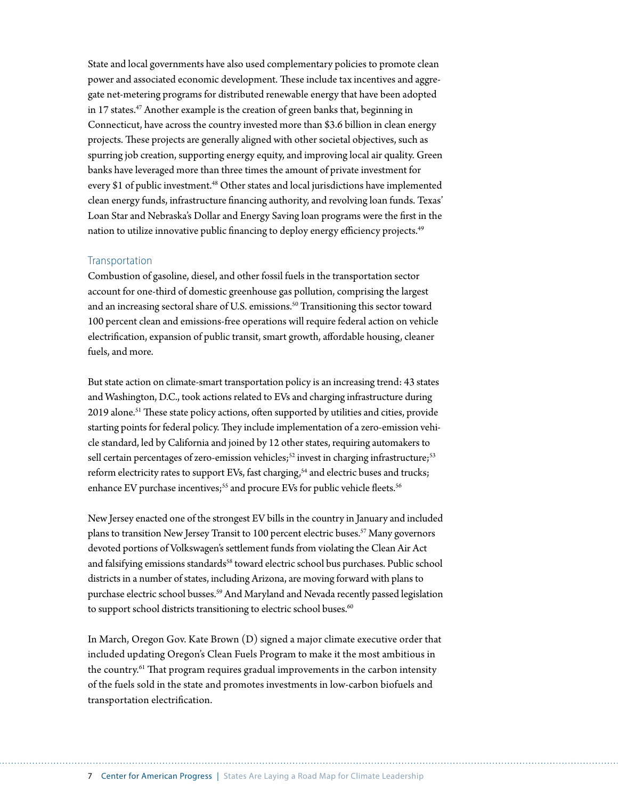State and local governments have also used complementary policies to promote clean power and associated economic development. These include tax incentives and aggregate net-metering programs for distributed renewable energy that have been adopted in 17 states.<sup>47</sup> Another example is the creation of green banks that, beginning in Connecticut, have across the country invested more than \$3.6 billion in clean energy projects. These projects are generally aligned with other societal objectives, such as spurring job creation, supporting energy equity, and improving local air quality. Green banks have leveraged more than three times the amount of private investment for every \$1 of public investment.<sup>48</sup> Other states and local jurisdictions have implemented clean energy funds, infrastructure financing authority, and revolving loan funds. Texas' Loan Star and Nebraska's Dollar and Energy Saving loan programs were the first in the nation to utilize innovative public financing to deploy energy efficiency projects.<sup>49</sup>

#### Transportation

Combustion of gasoline, diesel, and other fossil fuels in the transportation sector account for one-third of domestic greenhouse gas pollution, comprising the largest and an increasing sectoral share of U.S. emissions.<sup>50</sup> Transitioning this sector toward 100 percent clean and emissions-free operations will require federal action on vehicle electrification, expansion of public transit, smart growth, affordable housing, cleaner fuels, and more.

But state action on climate-smart transportation policy is an increasing trend: 43 states and Washington, D.C., took actions related to EVs and charging infrastructure during 2019 alone.<sup>51</sup> These state policy actions, often supported by utilities and cities, provide starting points for federal policy. They include implementation of a zero-emission vehicl[e standard,](https://www.ucsusa.org/resources/what-zev) led by California and joined by 12 other states, requiring automakers to sell certain percentages of zero-emission vehicles;<sup>52</sup> invest in charging infrastructure;<sup>53</sup> reform electricity rates to support EVs, fast charging,<sup>54</sup> and electric buses and trucks; enhance EV purchase incentives;<sup>55</sup> and procure EVs for public vehicle fleets.<sup>56</sup>

New Jersey enacted one of the strongest EV bills in the country in January and included plans to transition New Jersey Transit to 100 percent electric buses.<sup>57</sup> Many governors devoted portions of Volkswagen's settlement funds from violating the Clean Air Act and falsifying emissions standards<sup>58</sup> toward electric school bus purchases. Public school districts in a number of states, including Arizona, are moving forward with plans to purchase electric school busses.59 And Maryland and Nevada recently passed legislation to support school districts transitioning to electric school buses.<sup>60</sup>

In March, Oregon Gov. Kate Brown (D) signed a major climate executive order that included updating Oregon's Clean Fuels Program to make it the most ambitious in the country.<sup>61</sup> That program requires gradual improvements in the carbon intensity of the fuels sold in the state and promotes investments in low-carbon biofuels and transportation electrification.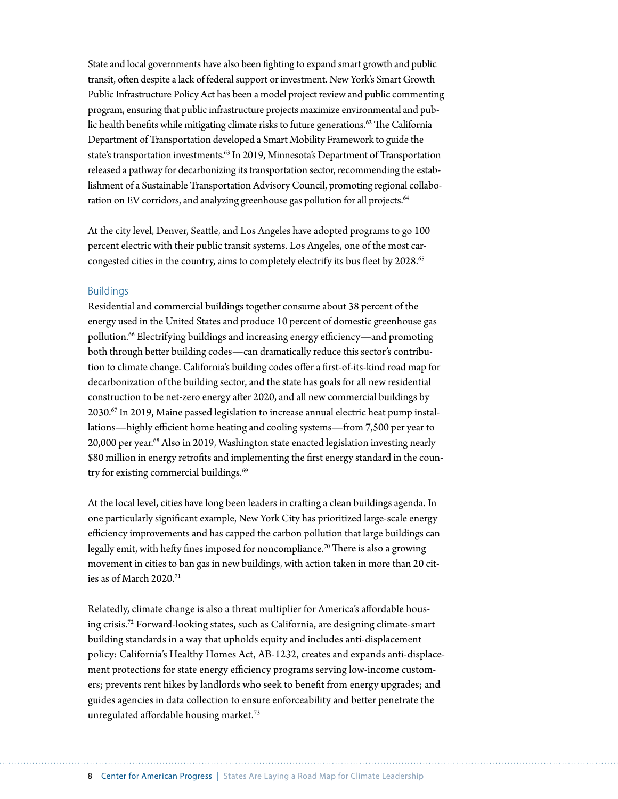State and local governments have also been fighting to expand smart growth and public transit, often despite a lack of federal support or investment. New York's Smart Growth Public Infrastructure Policy Act has been a model project review and public commenting program, ensuring that public infrastructure projects maximize environmental and public health benefits while mitigating climate risks to future generations.<sup>62</sup> The California Department of Transportation developed a Smart Mobility Framework to guide the state's transportation investments.<sup>63</sup> In 2019, Minnesota's Department of Transportation released a pathway for decarbonizing its transportation sector, recommending the establishment of a Sustainable Transportation Advisory Council, promoting regional collaboration on EV corridors, and analyzing greenhouse gas pollution for all projects.<sup>64</sup>

At the city level, Denver, Seattle, and Los Angeles have adopted programs to go 100 percent electric with their public transit systems. Los Angeles, one of the most carcongested cities in the country, aims to completely electrify its bus fleet by 2028.<sup>65</sup>

#### Buildings

Residential and commercial buildings together consume about 38 percent of the energy used in the United States and produce 10 percent of domestic greenhouse gas pollution.66 Electrifying buildings and increasing energy efficiency—and promoting both through better building codes—can dramatically reduce this sector's contribution to climate change. California's building codes offer a first-of-its-kind road map for decarbonization of the building sector, and the state has goals for all new residential construction to be net-zero energy after 2020, and all new commercial buildings by  $2030.^{67}$  In 2019, Maine passed legislation to increase annual electric heat pump installations—highly efficient home heating and cooling systems—from 7,500 per year to 20,000 per year.<sup>68</sup> Also in 2019, Washington state enacted legislation investing nearly \$80 million in energy retrofits and implementing the first energy standard in the country for existing commercial buildings.<sup>69</sup>

At the local level, cities have long been leaders in crafting a clean buildings agenda. In one particularly significant example, New York City has prioritized large-scale energy efficiency improvements and has [capped the carbon](https://www.nytimes.com/2019/04/17/nyregion/nyc-energy-laws.html) pollution that large buildings can legally emit, with hefty fines imposed for noncompliance.<sup>70</sup> There is also a growing movement in cities to ban gas in new buildings, with action taken in more than 20 cities as of March 2020.71

Relatedly, climate change is also a threat multiplier for America's [affordable hous](https://www.americanprogress.org/issues/green/reports/2019/08/01/473067/a-perfect-storm-2/)[ing crisis](https://www.americanprogress.org/issues/green/reports/2019/08/01/473067/a-perfect-storm-2/).72 Forward-looking states, such as California, are designing climate-smart building standards in a way that upholds equity and includes anti-displacement policy: California's Healthy Homes Act, AB-1232, creates and expands anti-displacement protections for state energy efficiency programs serving low-income customers; prevents rent hikes by landlords who seek to benefit from energy upgrades; and guides agencies in data collection to ensure enforceability and better penetrate the unregulated affordable housing market.73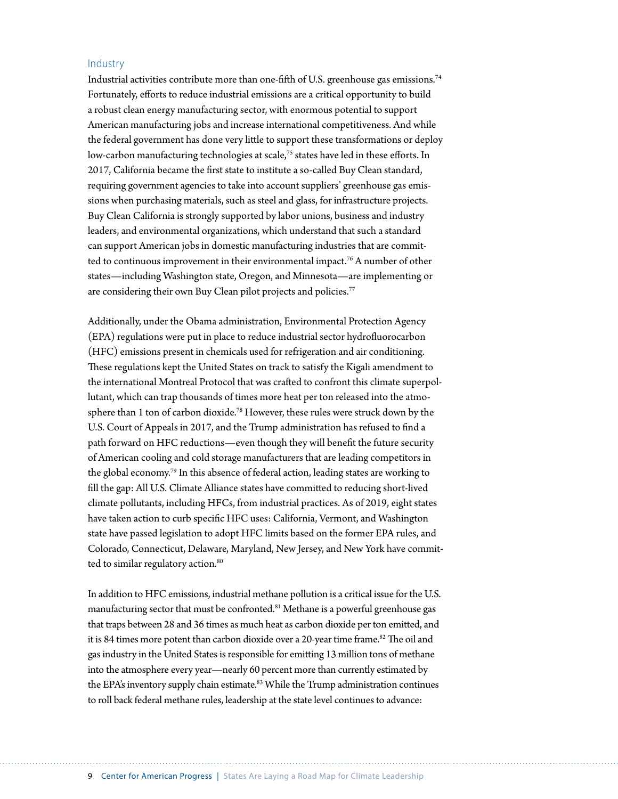#### Industry

Industrial activities contribute more than one-fifth of U.S. greenhouse gas emissions.74 Fortunately, efforts to reduce industrial emissions are a critical opportunity to build a robust clean energy manufacturing sector, with enormous potential to support American manufacturing jobs and increase international competitiveness. And while the federal government has done very little to support these transformations or deploy low-carbon manufacturing technologies at scale,<sup>75</sup> states have led in these efforts. In 2017, California became the first state to institute a so-called Buy Clean standard, requiring government agencies to take into account suppliers' greenhouse gas emissions when purchasing materials, such as steel and glass, for infrastructure projects. Buy Clean California is strongly supported by labor unions, business and industry leaders, and environmental organizations, which understand that such a standard can support American jobs in domestic manufacturing industries that are committed to continuous improvement in their environmental impact.<sup>76</sup> A number of other states—including Washington state, Oregon, and Minnesota—are implementing or are considering their own Buy Clean pilot projects and policies.<sup>77</sup>

Additionally, under the Obama administration, Environmental Protection Agency (EPA) regulations were put in place to reduce industrial sector hydrofluorocarbon (HFC) emissions present in chemicals used for refrigeration and air conditioning. These regulations kept the United States on track to satisfy the Kigali amendment to the international Montreal Protocol that was crafted to confront this climate superpollutant, which can trap thousands of times more heat per ton released into the atmosphere than 1 ton of carbon dioxide.78 However, these rules were struck down by the U.S. Court of Appeals in 2017, and the Trump administration has refused to find a path forward on HFC reductions—even though they will benefit the future security of American cooling and cold storage manufacturers that are leading competitors in the global economy.79 In this absence of federal action, leading states are working to fill the gap: All U.S. Climate Alliance states have committed to reducing short-lived climate pollutants, including HFCs, from industrial practices. As of 2019, eight states have taken action to curb specific HFC uses: California, Vermont, and Washington state have passed legislation to adopt HFC limits based on the former EPA rules, and Colorado, Connecticut, Delaware, Maryland, New Jersey, and New York have committed to similar regulatory action.<sup>80</sup>

In addition to HFC emissions, industrial methane pollution is a critical issue for the U.S. manufacturing sector that must be confronted.<sup>81</sup> Methane is a powerful greenhouse gas that traps between 28 and 36 times as much heat as carbon dioxide per ton emitted, and it is 84 times more potent than carbon dioxide over a 20-year time frame.<sup>82</sup> The oil and gas industry in the United States is responsible for emitting 13 million tons of methane into the atmosphere every year—nearly 60 percent more than currently estimated by the EPA's inventory supply chain estimate.<sup>83</sup> While the Trump administration continues to roll back federal methane rules, leadership at the state level continues to advance: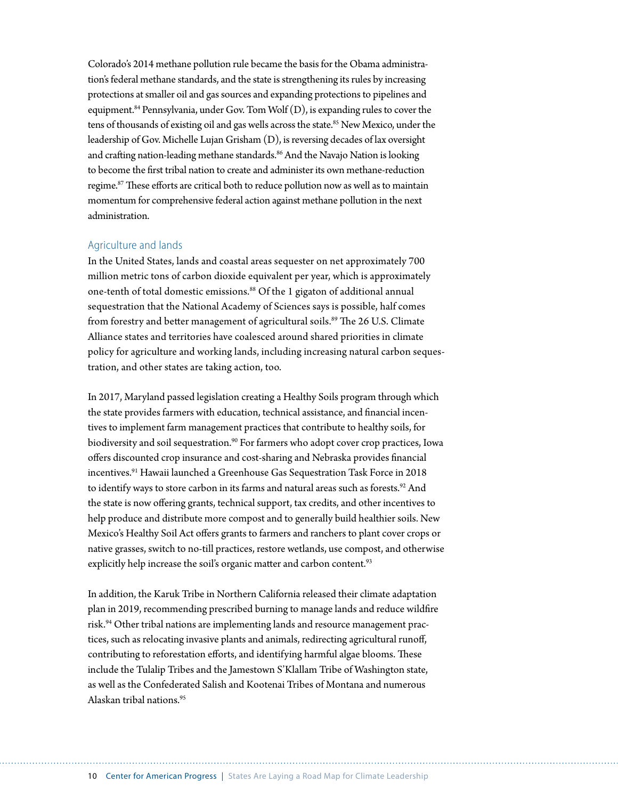Colorado's 2014 methane pollution rule became the basis for the Obama administration's federal methane standards, and the state is strengthening its rules by increasing protections at smaller oil and gas sources and expanding protections to pipelines and equipment.<sup>84</sup> Pennsylvania, under Gov. Tom Wolf (D), is expanding rules to cover the tens of thousands of existing oil and gas wells across the state.<sup>85</sup> New Mexico, under the leadership of Gov. Michelle Lujan Grisham (D), is reversing decades of lax oversight and crafting nation-leading methane standards.<sup>86</sup> And the Navajo Nation is looking to become the first tribal nation to create and administer its own methane-reduction regime.87 These efforts are critical both to reduce pollution now as well as to maintain momentum for comprehensive federal action against methane pollution in the next administration.

#### Agriculture and lands

In the United States, lands and coastal areas sequester on net approximately 700 million metric tons of carbon dioxide equivalent per year, which is approximately one-tenth of total domestic emissions.<sup>88</sup> Of the 1 gigaton of additional annual sequestration that the National Academy of Sciences says is possible, half comes from forestry and better management of agricultural soils.<sup>89</sup> The 26 U.S. Climate Alliance states and territories have coalesced around shared priorities in climate policy for agriculture and working lands, including increasing natural carbon sequestration, and other states are taking action, too.

In 2017, Maryland passed legislation creating a Healthy Soils program through which the state provides farmers with education, technical assistance, and financial incentives to implement farm management practices that contribute to healthy soils, for biodiversity and soil sequestration.<sup>90</sup> For farmers who adopt cover crop practices, Iowa offers discounted crop insurance and cost-sharing and Nebraska provides financial incentives.<sup>91</sup> Hawaii launched a Greenhouse Gas Sequestration Task Force in 2018 to identify ways to store carbon in its farms and natural areas such as forests.<sup>92</sup> And the state is now offering grants, technical support, tax credits, and other incentives to help produce and distribute more compost and to generally build healthier soils. New Mexico's Healthy Soil Act offers grants to farmers and ranchers to plant cover crops or native grasses, switch to no-till practices, restore wetlands, use compost, and otherwise explicitly help increase the soil's organic matter and carbon content.<sup>93</sup>

In addition, the Karuk Tribe in Northern California released their climate adaptation plan in 2019, recommending prescribed burning to manage lands and reduce wildfire risk.<sup>94</sup> Other tribal nations are implementing lands and resource management practices, such as relocating invasive plants and animals, redirecting agricultural runoff, contributing to reforestation efforts, and identifying harmful algae blooms. These include the Tulalip Tribes and the Jamestown S'Klallam Tribe of Washington state, as well as the Confederated Salish and Kootenai Tribes of Montana and numerous Alaskan tribal nations.95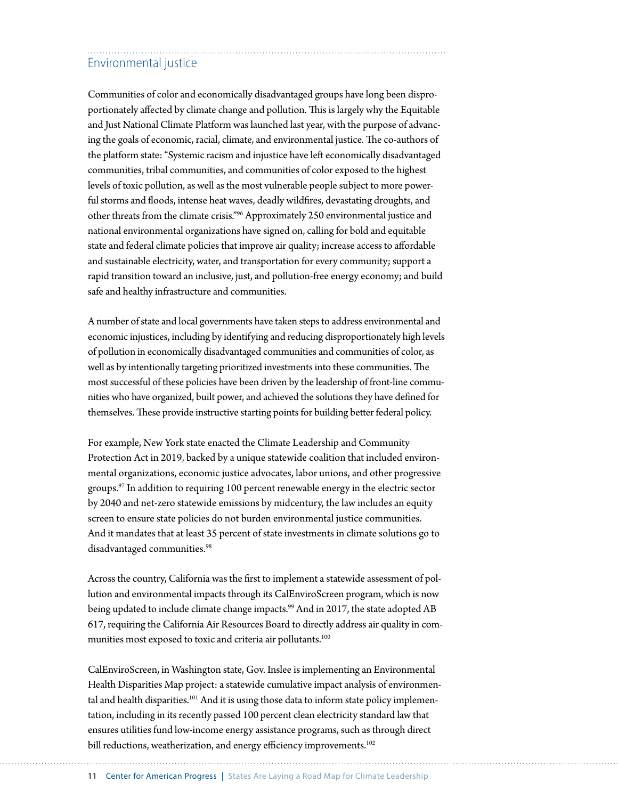# Environmental justice

Communities of color and economically disadvantaged groups have long been disproportionately affected by climate change and pollution. This is largely why the Equitable and Just National Climate Platform was launched last year, with the purpose of advancing the goals of economic, racial, climate, and environmental justice. The co-authors of the platform state: "Systemic racism and injustice have left economically disadvantaged communities, tribal communities, and communities of color exposed to the highest levels of toxic pollution, as well as the most vulnerable people subject to more powerful storms and floods, intense heat waves, deadly wildfires, devastating droughts, and other threats from the climate crisis."96 Approximately 250 environmental justice and national environmental organizations have signed on, calling for bold and equitable state and federal climate policies that improve air quality; increase access to affordable and sustainable electricity, water, and transportation for every community; support a rapid transition toward an inclusive, just, and pollution-free energy economy; and build safe and healthy infrastructure and communities.

A number of state and local governments have taken steps to address environmental and economic injustices, including by identifying and reducing disproportionately high levels of pollution in economically disadvantaged communities and communities of color, as well as by intentionally targeting prioritized investments into these communities. The most successful of these policies have been driven by the leadership of front-line communities who have organized, built power, and achieved the solutions they have defined for themselves. These provide instructive starting points for building better federal policy.

For example, New York state enacted the Climate Leadership and Community Protection Act in 2019, backed by a unique statewide coalition that included environmental organizations, economic justice advocates, labor unions, and other progressive groups.<sup>97</sup> In addition to requiring 100 percent renewable energy in the electric sector by 2040 and net-zero statewide emissions by midcentury, the law includes an equity screen to ensure state policies do not burden environmental justice communities. And it mandates that at least 35 percent of state investments in climate solutions go to disadvantaged communities.<sup>98</sup>

Across the country, California was the first to implement a statewide assessment of pollution and environmental impacts through its CalEnviroScreen program, which is now being updated to include climate change impacts.<sup>99</sup> And in 2017, the state adopted AB 617, requiring the California Air Resources Board to directly address air quality in communities most exposed to toxic and criteria air pollutants.<sup>100</sup>

CalEnviroScreen, in Washington state, Gov. Inslee is implementing an Environmental Health Disparities Map project: a statewide cumulative impact analysis of environmental and health disparities.<sup>101</sup> And it is using those data to inform state policy implementation, including in its recently passed 100 percent clean electricity standard law that ensures utilities fund low-income energy assistance programs, such as through direct bill reductions, weatherization, and energy efficiency improvements.<sup>102</sup>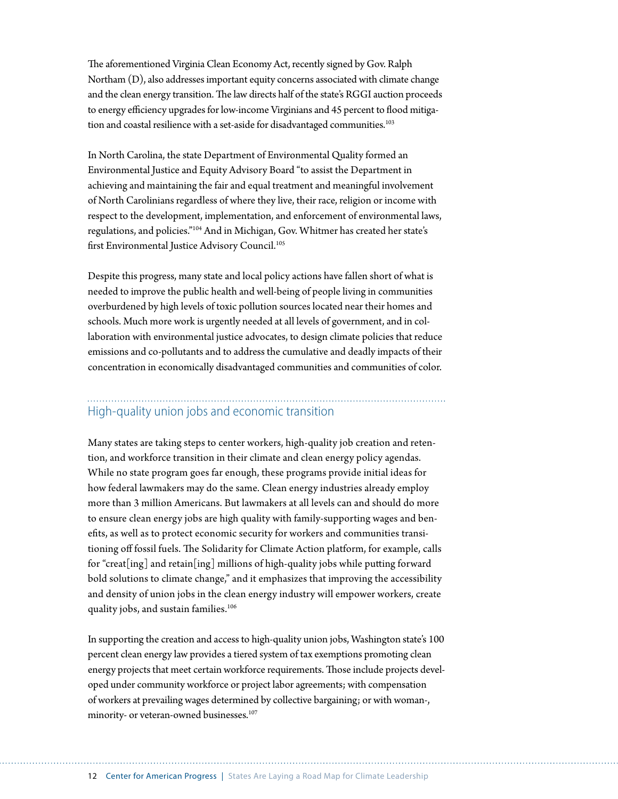The aforementioned Virginia Clean Economy Act, recently signed by Gov. Ralph Northam (D), also addresses important equity concerns associated with climate change and the clean energy transition. The law directs half of the state's RGGI auction proceeds to energy efficiency upgrades for low-income Virginians and 45 percent to flood mitigation and coastal resilience with a set-aside for disadvantaged communities.<sup>103</sup>

In North Carolina, the state Department of Environmental Quality formed an Environmental Justice and Equity Advisory Board "to assist the Department in achieving and maintaining the fair and equal treatment and meaningful involvement of North Carolinians regardless of where they live, their race, religion or income with respect to the development, implementation, and enforcement of environmental laws, regulations, and policies."104 And in Michigan, Gov. Whitmer has created her state's first Environmental Justice Advisory Council.<sup>105</sup>

Despite this progress, many state and local policy actions have fallen short of what is needed to improve the public health and well-being of people living in communities overburdened by high levels of toxic pollution sources located near their homes and schools. Much more work is urgently needed at all levels of government, and in collaboration with environmental justice advocates, to design climate policies that reduce emissions and co-pollutants and to address the cumulative and deadly impacts of their concentration in economically disadvantaged communities and communities of color.

# High-quality union jobs and economic transition

Many states are taking steps to center workers, high-quality job creation and retention, and workforce transition in their climate and clean energy policy agendas. While no state program goes far enough, these programs provide initial ideas for how federal lawmakers may do the same. Clean energy industries already employ more than 3 million Americans. But lawmakers at all levels can and should do more to ensure clean energy jobs are high quality with family-supporting wages and benefits, as well as to protect economic security for workers and communities transitioning off fossil fuels. The Solidarity for Climate Action platform, for example, calls for "creat[ing] and retain[ing] millions of high-quality jobs while putting forward bold solutions to climate change," and it emphasizes that improving the accessibility and density of union jobs in the clean energy industry will empower workers, create quality jobs, and sustain families.<sup>106</sup>

In supporting the creation and access to high-quality union jobs, Washington state's 100 percent clean energy law provides a tiered system of tax exemptions promoting clean energy projects that meet certain workforce requirements. Those include projects developed under community workforce or project labor agreements; with compensation of workers at prevailing wages determined by collective bargaining; or with woman-, minority- or veteran-owned businesses.<sup>107</sup>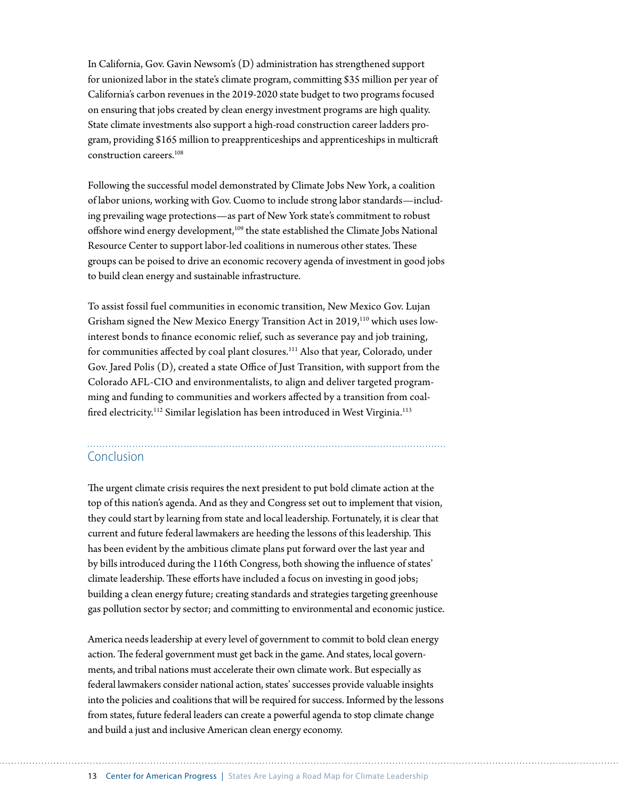In California, Gov. Gavin Newsom's (D) administration has strengthened support for unionized labor in the state's climate program, committing \$35 million per year of California's carbon revenues in the 2019-2020 state budget to two programs focused on ensuring that jobs created by clean energy investment programs are high quality. State climate investments also support a high-road construction career ladders program, providing \$165 million to preapprenticeships and apprenticeships in multicraft construction careers.108

Following the successful model demonstrated by Climate Jobs New York, a coalition of labor unions, working with Gov. Cuomo to include strong labor standards—including prevailing wage protections—as part of New York state's commitment to robust offshore wind energy development,<sup>109</sup> the state established the Climate Jobs National Resource Center to support labor-led coalitions in numerous other states. These groups can be poised to drive an economic recovery agenda of investment in good jobs to build clean energy and sustainable infrastructure.

To assist fossil fuel communities in economic transition, New Mexico Gov. Lujan Grisham signed the New Mexico Energy Transition Act in 2019,<sup>110</sup> which uses lowinterest bonds to finance economic relief, such as severance pay and job training, for communities affected by coal plant closures.<sup>111</sup> Also that year, Colorado, under Gov. Jared Polis (D), created a state Office of Just Transition, with support from the Colorado AFL-CIO and environmentalists, to align and deliver targeted programming and funding to communities and workers affected by a transition from coalfired electricity.<sup>112</sup> Similar legislation has been introduced in West Virginia.<sup>113</sup>

#### Conclusion

The urgent climate crisis requires the next president to put bold climate action at the top of this nation's agenda. And as they and Congress set out to implement that vision, they could start by learning from state and local leadership. Fortunately, it is clear that current and future federal lawmakers are heeding the lessons of this leadership. This has been evident by the ambitious climate plans put forward over the last year and by bills introduced during the 116th Congress, both showing the influence of states' climate leadership. These efforts have included a focus on investing in good jobs; building a clean energy future; creating standards and strategies targeting greenhouse gas pollution sector by sector; and committing to environmental and economic justice.

America needs leadership at every level of government to commit to bold clean energy action. The federal government must get back in the game. And states, local governments, and tribal nations must accelerate their own climate work. But especially as federal lawmakers consider national action, states' successes provide valuable insights into the policies and coalitions that will be required for success. Informed by the lessons from states, future federal leaders can create a powerful agenda to stop climate change and build a just and inclusive American clean energy economy.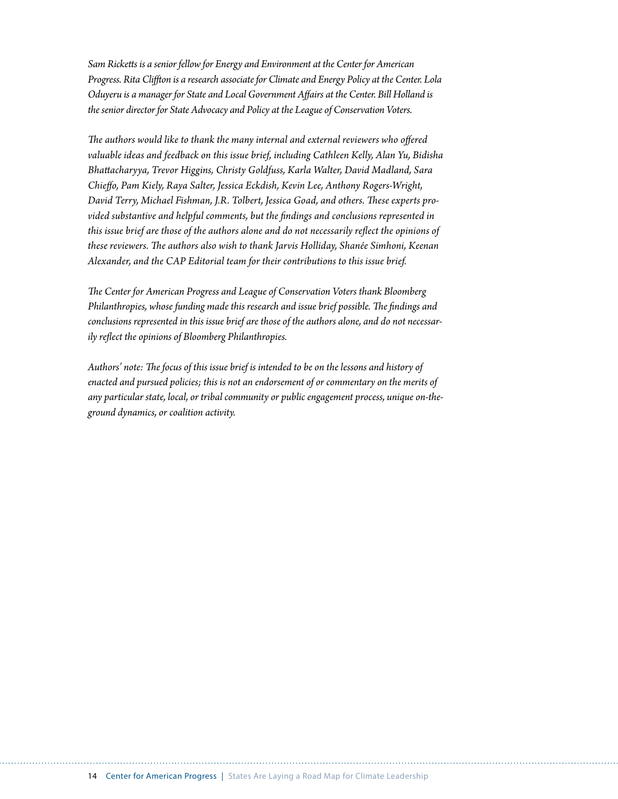*Sam Ricketts is a senior fellow for Energy and Environment at the Center for American Progress. Rita Cliffton is a research associate for Climate and Energy Policy at the Center. Lola Oduyeru is a manager for State and Local Government Affairs at the Center. Bill Holland is the senior director for State Advocacy and Policy at the League of Conservation Voters.* 

*The authors would like to thank the many internal and external reviewers who offered valuable ideas and feedback on this issue brief, including Cathleen Kelly, Alan Yu, Bidisha Bhattacharyya, Trevor Higgins, Christy Goldfuss, Karla Walter, David Madland, Sara Chieffo, Pam Kiely, Raya Salter, Jessica Eckdish, Kevin Lee, Anthony Rogers-Wright, David Terry, Michael Fishman, J.R. Tolbert, Jessica Goad, and others. These experts provided substantive and helpful comments, but the findings and conclusions represented in this issue brief are those of the authors alone and do not necessarily reflect the opinions of these reviewers. The authors also wish to thank Jarvis Holliday, Shanée Simhoni, Keenan Alexander, and the CAP Editorial team for their contributions to this issue brief.*

*The Center for American Progress and League of Conservation Voters thank Bloomberg Philanthropies, whose funding made this research and issue brief possible. The findings and conclusions represented in this issue brief are those of the authors alone, and do not necessarily reflect the opinions of Bloomberg Philanthropies.*

*Authors' note: The focus of this issue brief is intended to be on the lessons and history of enacted and pursued policies; this is not an endorsement of or commentary on the merits of any particular state, local, or tribal community or public engagement process, unique on-theground dynamics, or coalition activity.*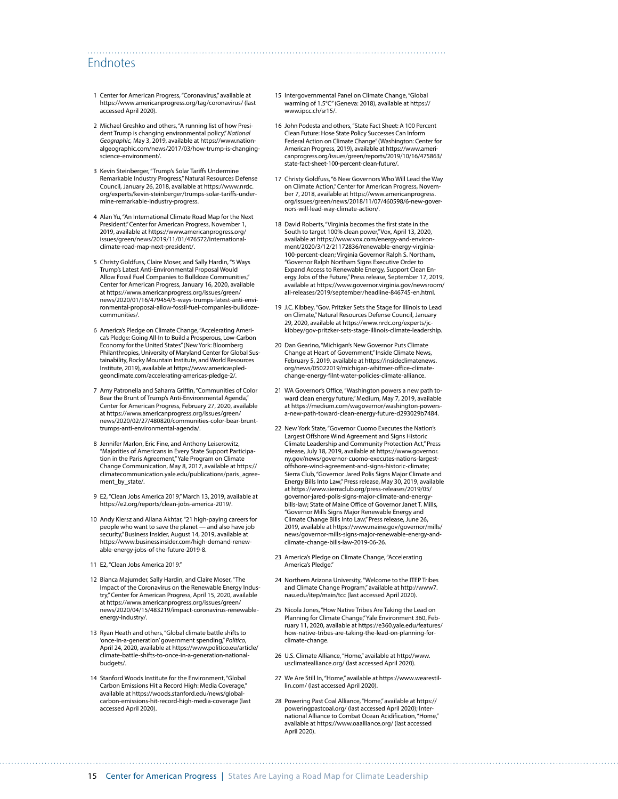#### Endnotes

- 1 Center for American Progress, "Coronavirus," available at <https://www.americanprogress.org/tag/coronavirus/>(last accessed April 2020).
- 2 Michael Greshko and others, "A running list of how President Trump is changing environmental policy," *National Geographic,* May 3, 2019, available at [https://www.nation](https://www.nationalgeographic.com/news/2017/03/how-trump-is-changing-science-environment/)[algeographic.com/news/2017/03/how-trump-is-changing](https://www.nationalgeographic.com/news/2017/03/how-trump-is-changing-science-environment/)[science-environment/.](https://www.nationalgeographic.com/news/2017/03/how-trump-is-changing-science-environment/)
- 3 Kevin Steinberger, "Trump's Solar Tariffs Undermine Remarkable Industry Progress," Natural Resources Defense Council, January 26, 2018, available at [https://www.nrdc.](https://www.nrdc.org/experts/kevin-steinberger/trumps-solar-tariffs-undermine-remarkable-industry-progress) [org/experts/kevin-steinberger/trumps-solar-tariffs-under](https://www.nrdc.org/experts/kevin-steinberger/trumps-solar-tariffs-undermine-remarkable-industry-progress)[mine-remarkable-industry-progress.](https://www.nrdc.org/experts/kevin-steinberger/trumps-solar-tariffs-undermine-remarkable-industry-progress)
- 4 Alan Yu, "An International Climate Road Map for the Next President," Center for American Progress, November 1, 2019, available at [https://www.americanprogress.org/](https://www.americanprogress.org/issues/green/news/2019/11/01/476572/international-climate-road-map-next-president/) [issues/green/news/2019/11/01/476572/international](https://www.americanprogress.org/issues/green/news/2019/11/01/476572/international-climate-road-map-next-president/)[climate-road-map-next-president/.](https://www.americanprogress.org/issues/green/news/2019/11/01/476572/international-climate-road-map-next-president/)
- 5 Christy Goldfuss, Claire Moser, and Sally Hardin, "5 Ways Trump's Latest Anti-Environmental Proposal Would Allow Fossil Fuel Companies to Bulldoze Communities," Center for American Progress, January 16, 2020, available at [https://www.americanprogress.org/issues/green/](https://www.americanprogress.org/issues/green/news/2020/01/16/479454/5-ways-trumps-latest-anti-environmental-proposal-allow-fossil-fuel-companies-bulldoze-communities/) [news/2020/01/16/479454/5-ways-trumps-latest-anti-envi](https://www.americanprogress.org/issues/green/news/2020/01/16/479454/5-ways-trumps-latest-anti-environmental-proposal-allow-fossil-fuel-companies-bulldoze-communities/)[ronmental-proposal-allow-fossil-fuel-companies-bulldoze](https://www.americanprogress.org/issues/green/news/2020/01/16/479454/5-ways-trumps-latest-anti-environmental-proposal-allow-fossil-fuel-companies-bulldoze-communities/)[communities/.](https://www.americanprogress.org/issues/green/news/2020/01/16/479454/5-ways-trumps-latest-anti-environmental-proposal-allow-fossil-fuel-companies-bulldoze-communities/)
- 6 America's Pledge on Climate Change, "Accelerating America's Pledge: Going All-In to Build a Prosperous, Low-Carbon Economy for the United States" (New York: Bloomberg Philanthropies, University of Maryland Center for Global Sus-tainability, Rocky Mountain Institute, and World Resources Institute, 2019), available at [https://www.americaspled](https://www.americaspledgeonclimate.com/accelerating-americas-pledge-2/)[geonclimate.com/accelerating-americas-pledge-2/](https://www.americaspledgeonclimate.com/accelerating-americas-pledge-2/).
- 7 Amy Patronella and Saharra Griffin, "Communities of Color Bear the Brunt of Trump's Anti-Environmental Agenda," Center for American Progress, February 27, 2020, available at [https://www.americanprogress.org/issues/green/](https://www.americanprogress.org/issues/green/news/2020/02/27/480820/communities-color-bear-brunt-trumps-anti-environmental-agenda/) [news/2020/02/27/480820/communities-color-bear-brunt](https://www.americanprogress.org/issues/green/news/2020/02/27/480820/communities-color-bear-brunt-trumps-anti-environmental-agenda/)[trumps-anti-environmental-agenda/](https://www.americanprogress.org/issues/green/news/2020/02/27/480820/communities-color-bear-brunt-trumps-anti-environmental-agenda/).
- 8 Jennifer Marlon, Eric Fine, and Anthony Leiserowitz, "Majorities of Americans in Every State Support Participation in the Paris Agreement," Yale Program on Climate Change Communication, May 8, 2017, available at [https://](https://climatecommunication.yale.edu/publications/paris_agreement_by_state/) [climatecommunication.yale.edu/publications/paris\\_agree](https://climatecommunication.yale.edu/publications/paris_agreement_by_state/)ment by state/.
- 9 E2, "Clean Jobs America 2019," March 13, 2019, available at <https://e2.org/reports/clean-jobs-america-2019/>.
- 10 Andy Kiersz and Allana Akhtar, "21 high-paying careers for people who want to save the planet — and also have job security," Business Insider, August 14, 2019, available at [https://www.businessinsider.com/high-demand-renew](https://www.businessinsider.com/high-demand-renewable-energy-jobs-of-the-future-2019-8)[able-energy-jobs-of-the-future-2019-8](https://www.businessinsider.com/high-demand-renewable-energy-jobs-of-the-future-2019-8).
- 11 E2, "Clean Jobs America 2019."
- 12 Bianca Majumder, Sally Hardin, and Claire Moser, "The Impact of the Coronavirus on the Renewable Energy Industry," Center for American Progress, April 15, 2020, available at [https://www.americanprogress.org/issues/green/](https://www.americanprogress.org/issues/green/news/2020/04/15/483219/impact-coronavirus-renewable-energy-industry/) [news/2020/04/15/483219/impact-coronavirus-renewable](https://www.americanprogress.org/issues/green/news/2020/04/15/483219/impact-coronavirus-renewable-energy-industry/)[energy-industry/.](https://www.americanprogress.org/issues/green/news/2020/04/15/483219/impact-coronavirus-renewable-energy-industry/)
- 13 Ryan Heath and others, "Global climate battle shifts to 'once-in-a-generation' government spending," *Politico*, April 24, 2020, available at [https://www.politico.eu/article/](https://www.politico.eu/article/climate-battle-shifts-to-once-in-a-generation-national-budgets/) [climate-battle-shifts-to-once-in-a-generation-national](https://www.politico.eu/article/climate-battle-shifts-to-once-in-a-generation-national-budgets/)[budgets/.](https://www.politico.eu/article/climate-battle-shifts-to-once-in-a-generation-national-budgets/)
- 14 Stanford Woods Institute for the Environment, "Global Carbon Emissions Hit a Record High: Media Coverage," available at [https://woods.stanford.edu/news/global](https://woods.stanford.edu/news/global-carbon-emissions-hit-record-high-media-coverage)[carbon-emissions-hit-record-high-media-coverage](https://woods.stanford.edu/news/global-carbon-emissions-hit-record-high-media-coverage) (last accessed April 2020).

15 Intergovernmental Panel on Climate Change, "Global warming of 1.5°C" (Geneva: 2018), available at [https://](https://www.ipcc.ch/sr15/) [www.ipcc.ch/sr15/](https://www.ipcc.ch/sr15/).

- 16 John Podesta and others, "State Fact Sheet: A 100 Percent Clean Future: Hose State Policy Successes Can Inform Federal Action on Climate Change" (Washington: Center for American Progress, 2019), available at [https://www.ameri](https://www.americanprogress.org/issues/green/reports/2019/10/16/475863/state-fact-sheet-100-percent-clean-future/)[canprogress.org/issues/green/reports/2019/10/16/475863/](https://www.americanprogress.org/issues/green/reports/2019/10/16/475863/state-fact-sheet-100-percent-clean-future/) [state-fact-sheet-100-percent-clean-future/.](https://www.americanprogress.org/issues/green/reports/2019/10/16/475863/state-fact-sheet-100-percent-clean-future/)
- 17 Christy Goldfuss, "6 New Governors Who Will Lead the Way on Climate Action," Center for American Progress, November 7, 2018, available at [https://www.americanprogress.](https://www.americanprogress.org/issues/green/news/2018/11/07/460598/6-new-governors-will-lead-way-climate-action/) [org/issues/green/news/2018/11/07/460598/6-new-gover](https://www.americanprogress.org/issues/green/news/2018/11/07/460598/6-new-governors-will-lead-way-climate-action/)[nors-will-lead-way-climate-action/](https://www.americanprogress.org/issues/green/news/2018/11/07/460598/6-new-governors-will-lead-way-climate-action/).
- 18 David Roberts, "Virginia becomes the first state in the South to target 100% clean power," Vox, April 13, 2020, available at [https://www.vox.com/energy-and-environ](https://www.vox.com/energy-and-environment/2020/3/12/21172836/renewable-energy-virginia-100-percent-clean)[ment/2020/3/12/21172836/renewable-energy-virginia-](https://www.vox.com/energy-and-environment/2020/3/12/21172836/renewable-energy-virginia-100-percent-clean)[100-percent-clean](https://www.vox.com/energy-and-environment/2020/3/12/21172836/renewable-energy-virginia-100-percent-clean); Virginia Governor Ralph S. Northam, "Governor Ralph Northam Signs Executive Order to Expand Access to Renewable Energy, Support Clean Energy Jobs of the Future," Press release, September 17, 2019, available at [https://www.governor.virginia.gov/newsroom/](https://www.governor.virginia.gov/newsroom/all-releases/2019/september/headline-846745-en.html) [all-releases/2019/september/headline-846745-en.html](https://www.governor.virginia.gov/newsroom/all-releases/2019/september/headline-846745-en.html).
- 19 J.C. Kibbey, "Gov. Pritzker Sets the Stage for Illinois to Lead on Climate," Natural Resources Defense Council, January 29, 2020, available at [https://www.nrdc.org/experts/jc](https://www.nrdc.org/experts/jc-kibbey/gov-pritzker-sets-stage-illinois-climate-leadership)[kibbey/gov-pritzker-sets-stage-illinois-climate-leadership.](https://www.nrdc.org/experts/jc-kibbey/gov-pritzker-sets-stage-illinois-climate-leadership)
- 20 Dan Gearino, "Michigan's New Governor Puts Climate Change at Heart of Government," Inside Climate News, February 5, 2019, available at [https://insideclimatenews.](https://insideclimatenews.org/news/05022019/michigan-whitmer-office-climate-change-energy-filnt-water-policies-climate-alliance) [org/news/05022019/michigan-whitmer-office-climate](https://insideclimatenews.org/news/05022019/michigan-whitmer-office-climate-change-energy-filnt-water-policies-climate-alliance)[change-energy-filnt-water-policies-climate-alliance](https://insideclimatenews.org/news/05022019/michigan-whitmer-office-climate-change-energy-filnt-water-policies-climate-alliance).
- 21 WA Governor's Office, "Washington powers a new path toward clean energy future," Medium, May 7, 2019, available at [https://medium.com/wagovernor/washington-powers](https://medium.com/wagovernor/washington-powers-a-new-path-toward-clean-energy-future-d293029b7484)[a-new-path-toward-clean-energy-future-d293029b7484.](https://medium.com/wagovernor/washington-powers-a-new-path-toward-clean-energy-future-d293029b7484)
- 22 New York State, "Governor Cuomo Executes the Nation's Largest Offshore Wind Agreement and Signs Historic Climate Leadership and Community Protection Act," Press release, July 18, 2019, available at [https://www.governor.](https://www.governor.ny.gov/news/governor-cuomo-executes-nations-largest-offshore-wind-agreement-and-signs-historic-climate) [ny.gov/news/governor-cuomo-executes-nations-largest](https://www.governor.ny.gov/news/governor-cuomo-executes-nations-largest-offshore-wind-agreement-and-signs-historic-climate)[offshore-wind-agreement-and-signs-historic-climate](https://www.governor.ny.gov/news/governor-cuomo-executes-nations-largest-offshore-wind-agreement-and-signs-historic-climate); Sierra Club, "Governor Jared Polis Signs Major Climate and Energy Bills Into Law," Press release, May 30, 2019, available at [https://www.sierraclub.org/press-releases/2019/05/](https://www.sierraclub.org/press-releases/2019/05/governor-jared-polis-signs-major-climate-and-energy-bills-law) [governor-jared-polis-signs-major-climate-and-energy](https://www.sierraclub.org/press-releases/2019/05/governor-jared-polis-signs-major-climate-and-energy-bills-law)[bills-law](https://www.sierraclub.org/press-releases/2019/05/governor-jared-polis-signs-major-climate-and-energy-bills-law); State of Maine Office of Governor Janet T. Mills, "Governor Mills Signs Major Renewable Energy and Climate Change Bills Into Law," Press release, June 26, 2019, available at [https://www.maine.gov/governor/mills/](https://www.maine.gov/governor/mills/news/governor-mills-signs-major-renewable-energy-and-climate-change-bills-law-2019-06-26) [news/governor-mills-signs-major-renewable-energy-and](https://www.maine.gov/governor/mills/news/governor-mills-signs-major-renewable-energy-and-climate-change-bills-law-2019-06-26)[climate-change-bills-law-2019-06-26](https://www.maine.gov/governor/mills/news/governor-mills-signs-major-renewable-energy-and-climate-change-bills-law-2019-06-26).
- 23 America's Pledge on Climate Change, "Accelerating America's Pledge."
- 24 Northern Arizona University, "Welcome to the ITEP Tribes and Climate Change Program," available at [http://www7.](http://www7.nau.edu/itep/main/tcc) [nau.edu/itep/main/tcc](http://www7.nau.edu/itep/main/tcc) (last accessed April 2020).
- 25 Nicola Jones, "How Native Tribes Are Taking the Lead on Planning for Climate Change," Yale Environment 360, February 11, 2020, available at [https://e360.yale.edu/features/](https://e360.yale.edu/features/how-native-tribes-are-taking-the-lead-on-planning-for-climate-change) [how-native-tribes-are-taking-the-lead-on-planning-for](https://e360.yale.edu/features/how-native-tribes-are-taking-the-lead-on-planning-for-climate-change)[climate-change](https://e360.yale.edu/features/how-native-tribes-are-taking-the-lead-on-planning-for-climate-change).
- 26 U.S. Climate Alliance, "Home," available at [http://www.](http://www.usclimatealliance.org/) [usclimatealliance.org/](http://www.usclimatealliance.org/) (last accessed April 2020).
- 27 We Are Still In, "Home," available at [https://www.wearestil](https://www.wearestillin.com/)[lin.com/](https://www.wearestillin.com/) (last accessed April 2020).
- 28 Powering Past Coal Alliance, "Home," available at [https://](https://poweringpastcoal.org/) [poweringpastcoal.org/](https://poweringpastcoal.org/) (last accessed April 2020); International Alliance to Combat Ocean Acidification, "Home," available at<https://www.oaalliance.org/>(last accessed April 2020).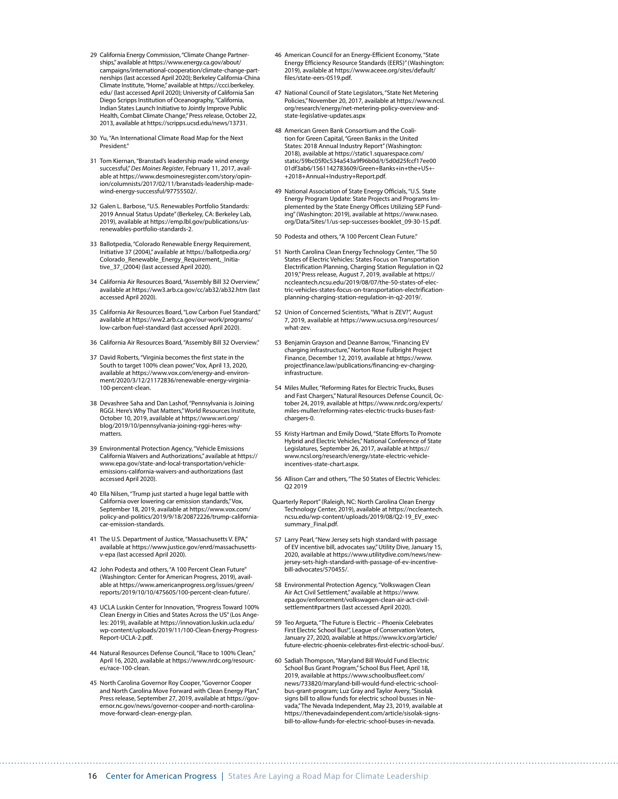- 29 California Energy Commission, "Climate Change Partnerships," available at [https://www.energy.ca.gov/about/](https://www.energy.ca.gov/about/campaigns/international-cooperation/climate-change-partnerships) [campaigns/international-cooperation/climate-change-part](https://www.energy.ca.gov/about/campaigns/international-cooperation/climate-change-partnerships)[nerships](https://www.energy.ca.gov/about/campaigns/international-cooperation/climate-change-partnerships) (last accessed April 2020); Berkeley California-China Climate Institute, "Home," available at [https://ccci.berkeley.](https://ccci.berkeley.edu/) [edu/](https://ccci.berkeley.edu/) (last accessed April 2020); University of California San Diego Scripps Institution of Oceanography, "California, Indian States Launch Initiative to Jointly Improve Public Health, Combat Climate Change," Press release, October 22, 2013, available at [https://scripps.ucsd.edu/news/13731.](https://scripps.ucsd.edu/news/13731)
- 30 Yu, "An International Climate Road Map for the Next President."
- 31 Tom Kiernan, "Branstad's leadership made wind energy successful," *Des Moines Register*, February 11, 2017, available at [https://www.desmoinesregister.com/story/opin](https://www.desmoinesregister.com/story/opinion/columnists/2017/02/11/branstads-leadership-made-wind-energy-successful/97755502/)[ion/columnists/2017/02/11/branstads-leadership-made](https://www.desmoinesregister.com/story/opinion/columnists/2017/02/11/branstads-leadership-made-wind-energy-successful/97755502/)[wind-energy-successful/97755502/](https://www.desmoinesregister.com/story/opinion/columnists/2017/02/11/branstads-leadership-made-wind-energy-successful/97755502/).
- 32 Galen L. Barbose, "U.S. Renewables Portfolio Standards: 2019 Annual Status Update" (Berkeley, CA: Berkeley Lab, 2019), available at [https://emp.lbl.gov/publications/us](https://emp.lbl.gov/publications/us-renewables-portfolio-standards-2)[renewables-portfolio-standards-2.](https://emp.lbl.gov/publications/us-renewables-portfolio-standards-2)
- 33 Ballotpedia, "Colorado Renewable Energy Requirement, Initiative 37 (2004)," available at [https://ballotpedia.org/](https://ballotpedia.org/Colorado_Renewable_Energy_Requirement,_Initiative_37_(2004)) [Colorado\\_Renewable\\_Energy\\_Requirement,\\_Initia](https://ballotpedia.org/Colorado_Renewable_Energy_Requirement,_Initiative_37_(2004))[tive\\_37\\_\(2004\)](https://ballotpedia.org/Colorado_Renewable_Energy_Requirement,_Initiative_37_(2004)) (last accessed April 2020).
- 34 California Air Resources Board, "Assembly Bill 32 Overview," available at<https://ww3.arb.ca.gov/cc/ab32/ab32.htm> (last accessed April 2020).
- 35 California Air Resources Board, "Low Carbon Fuel Standard," available at [https://ww2.arb.ca.gov/our-work/programs/](https://ww2.arb.ca.gov/our-work/programs/low-carbon-fuel-standard) [low-carbon-fuel-standard](https://ww2.arb.ca.gov/our-work/programs/low-carbon-fuel-standard) (last accessed April 2020).
- 36 California Air Resources Board, "Assembly Bill 32 Overview."
- 37 David Roberts, "Virginia becomes the first state in the South to target 100% clean power," Vox, April 13, 2020, available at [https://www.vox.com/energy-and-environ](https://www.vox.com/energy-and-environment/2020/3/12/21172836/renewable-energy-virginia-100-percent-clean)[ment/2020/3/12/21172836/renewable-energy-virginia-](https://www.vox.com/energy-and-environment/2020/3/12/21172836/renewable-energy-virginia-100-percent-clean)[100-percent-clean](https://www.vox.com/energy-and-environment/2020/3/12/21172836/renewable-energy-virginia-100-percent-clean).
- 38 Devashree Saha and Dan Lashof, "Pennsylvania is Joining RGGI. Here's Why That Matters," World Resources Institute, October 10, 2019, available at [https://www.wri.org/](https://www.wri.org/blog/2019/10/pennsylvania-joining-rggi-heres-why-matters) [blog/2019/10/pennsylvania-joining-rggi-heres-why](https://www.wri.org/blog/2019/10/pennsylvania-joining-rggi-heres-why-matters)[matters.](https://www.wri.org/blog/2019/10/pennsylvania-joining-rggi-heres-why-matters)
- 39 Environmental Protection Agency, "Vehicle Emissions California Waivers and Authorizations," available at [https://](https://www.epa.gov/state-and-local-transportation/vehicle-emissions-california-waivers-and-authorizations) [www.epa.gov/state-and-local-transportation/vehicle](https://www.epa.gov/state-and-local-transportation/vehicle-emissions-california-waivers-and-authorizations)[emissions-california-waivers-and-authorizations](https://www.epa.gov/state-and-local-transportation/vehicle-emissions-california-waivers-and-authorizations) (last accessed April 2020).
- 40 Ella Nilsen, "Trump just started a huge legal battle with California over lowering car emission standards," Vox, September 18, 2019, available at [https://www.vox.com/](https://www.vox.com/policy-and-politics/2019/9/18/20872226/trump-california-car-emission-standards) [policy-and-politics/2019/9/18/20872226/trump-california](https://www.vox.com/policy-and-politics/2019/9/18/20872226/trump-california-car-emission-standards)[car-emission-standards.](https://www.vox.com/policy-and-politics/2019/9/18/20872226/trump-california-car-emission-standards)
- 41 The U.S. Department of Justice, "Massachusetts V. EPA," available at [https://www.justice.gov/enrd/massachusetts](https://www.justice.gov/enrd/massachusetts-v-epa)[v-epa](https://www.justice.gov/enrd/massachusetts-v-epa) (last accessed April 2020).
- 42 John Podesta and others, "A 100 Percent Clean Future" (Washington: Center for American Progress, 2019), available at [https://www.americanprogress.org/issues/green/](https://www.americanprogress.org/issues/green/reports/2019/10/10/475605/100-percent-clean-future/) [reports/2019/10/10/475605/100-percent-clean-future/.](https://www.americanprogress.org/issues/green/reports/2019/10/10/475605/100-percent-clean-future/)
- 43 UCLA Luskin Center for Innovation, "Progress Toward 100% Clean Energy in Cities and States Across the US" (Los Angeles: 2019), available at [https://innovation.luskin.ucla.edu/](https://innovation.luskin.ucla.edu/wp-content/uploads/2019/11/100-Clean-Energy-Progress-Report-UCLA-2.pdf) [wp-content/uploads/2019/11/100-Clean-Energy-Progress-](https://innovation.luskin.ucla.edu/wp-content/uploads/2019/11/100-Clean-Energy-Progress-Report-UCLA-2.pdf)[Report-UCLA-2.pdf](https://innovation.luskin.ucla.edu/wp-content/uploads/2019/11/100-Clean-Energy-Progress-Report-UCLA-2.pdf).
- 44 Natural Resources Defense Council, "Race to 100% Clean," April 16, 2020, available at [https://www.nrdc.org/resourc](https://www.nrdc.org/resources/race-100-clean)[es/race-100-clean](https://www.nrdc.org/resources/race-100-clean).
- 45 North Carolina Governor Roy Cooper, "Governor Cooper and North Carolina Move Forward with Clean Energy Plan," Press release, September 27, 2019, available at [https://gov](https://governor.nc.gov/news/governor-cooper-and-north-carolina-move-forward-clean-energy-plan)[ernor.nc.gov/news/governor-cooper-and-north-carolina](https://governor.nc.gov/news/governor-cooper-and-north-carolina-move-forward-clean-energy-plan)[move-forward-clean-energy-plan](https://governor.nc.gov/news/governor-cooper-and-north-carolina-move-forward-clean-energy-plan).
- 46 American Council for an Energy-Efficient Economy, "State Energy Efficiency Resource Standards (EERS)" (Washington: 2019), available at [https://www.aceee.org/sites/default/](https://www.aceee.org/sites/default/files/state-eers-0519.pdf) [files/state-eers-0519.pdf](https://www.aceee.org/sites/default/files/state-eers-0519.pdf).
- 47 National Council of State Legislators, "State Net Metering Policies," November 20, 2017, available at [https://www.ncsl.](https://www.ncsl.org/research/energy/net-metering-policy-overview-and-state-legislative-updates.aspx) [org/research/energy/net-metering-policy-overview-and](https://www.ncsl.org/research/energy/net-metering-policy-overview-and-state-legislative-updates.aspx)[state-legislative-updates.aspx](https://www.ncsl.org/research/energy/net-metering-policy-overview-and-state-legislative-updates.aspx)
- 48 American Green Bank Consortium and the Coalition for Green Capital, "Green Banks in the United States: 2018 Annual Industry Report" (Washington: 2018), available at [https://static1.squarespace.com/](https://static1.squarespace.com/static/59bc05f0c534a543a9f96b0d/t/5d0d25fccf17ee0001df3ab6/1561142783609/Green+Banks+in+the+US+-+2018+Annual+Industry+Report.pdf) [static/59bc05f0c534a543a9f96b0d/t/5d0d25fccf17ee00](https://static1.squarespace.com/static/59bc05f0c534a543a9f96b0d/t/5d0d25fccf17ee0001df3ab6/1561142783609/Green+Banks+in+the+US+-+2018+Annual+Industry+Report.pdf) [01df3ab6/1561142783609/Green+Banks+in+the+US+-](https://static1.squarespace.com/static/59bc05f0c534a543a9f96b0d/t/5d0d25fccf17ee0001df3ab6/1561142783609/Green+Banks+in+the+US+-+2018+Annual+Industry+Report.pdf) [+2018+Annual+Industry+Report.pdf.](https://static1.squarespace.com/static/59bc05f0c534a543a9f96b0d/t/5d0d25fccf17ee0001df3ab6/1561142783609/Green+Banks+in+the+US+-+2018+Annual+Industry+Report.pdf)
- 49 National Association of State Energy Officials, "U.S. State Energy Program Update: State Projects and Programs Implemented by the State Energy Offices Utilizing SEP Funding" (Washington: 2019), available at [https://www.naseo.](https://www.naseo.org/Data/Sites/1/us-sep-successes-booklet_09-30-15.pdf) [org/Data/Sites/1/us-sep-successes-booklet\\_09-30-15.pdf](https://www.naseo.org/Data/Sites/1/us-sep-successes-booklet_09-30-15.pdf).
- 50 Podesta and others, "A 100 Percent Clean Future."
- 51 North Carolina Clean Energy Technology Center, "The 50 States of Electric Vehicles: States Focus on Transportation Electrification Planning, Charging Station Regulation in Q2 2019," Press release, August 7, 2019, available at [https://](https://nccleantech.ncsu.edu/2019/08/07/the-50-states-of-electric-vehicles-states-focus-on-transportation-electrification-planning-charging-station-regulation-in-q2-2019/) [nccleantech.ncsu.edu/2019/08/07/the-50-states-of-elec](https://nccleantech.ncsu.edu/2019/08/07/the-50-states-of-electric-vehicles-states-focus-on-transportation-electrification-planning-charging-station-regulation-in-q2-2019/)[tric-vehicles-states-focus-on-transportation-electrification](https://nccleantech.ncsu.edu/2019/08/07/the-50-states-of-electric-vehicles-states-focus-on-transportation-electrification-planning-charging-station-regulation-in-q2-2019/)[planning-charging-station-regulation-in-q2-2019/](https://nccleantech.ncsu.edu/2019/08/07/the-50-states-of-electric-vehicles-states-focus-on-transportation-electrification-planning-charging-station-regulation-in-q2-2019/).
- 52 Union of Concerned Scientists, "What is ZEV?", August 7, 2019, available at [https://www.ucsusa.org/resources/](https://www.ucsusa.org/resources/what-zev) [what-zev.](https://www.ucsusa.org/resources/what-zev)
- 53 Benjamin Grayson and Deanne Barrow, "Financing EV charging infrastructure," Norton Rose Fulbright Project Finance, December 12, 2019, available at [https://www.](https://www.projectfinance.law/publications/financing-ev-charging-infrastructure) [projectfinance.law/publications/financing-ev-charging](https://www.projectfinance.law/publications/financing-ev-charging-infrastructure)[infrastructure.](https://www.projectfinance.law/publications/financing-ev-charging-infrastructure)
- 54 Miles Muller, "Reforming Rates for Electric Trucks, Buses and Fast Chargers," Natural Resources Defense Council, October 24, 2019, available at [https://www.nrdc.org/experts/](https://www.nrdc.org/experts/miles-muller/reforming-rates-electric-trucks-buses-fast-chargers-0) [miles-muller/reforming-rates-electric-trucks-buses-fast](https://www.nrdc.org/experts/miles-muller/reforming-rates-electric-trucks-buses-fast-chargers-0)[chargers-0.](https://www.nrdc.org/experts/miles-muller/reforming-rates-electric-trucks-buses-fast-chargers-0)
- 55 Kristy Hartman and Emily Dowd, "State Efforts To Promote Hybrid and Electric Vehicles," National Conference of State Legislatures, September 26, 2017, available at [https://](https://www.ncsl.org/research/energy/state-electric-vehicle-incentives-state-chart.aspx) [www.ncsl.org/research/energy/state-electric-vehicle](https://www.ncsl.org/research/energy/state-electric-vehicle-incentives-state-chart.aspx)[incentives-state-chart.aspx.](https://www.ncsl.org/research/energy/state-electric-vehicle-incentives-state-chart.aspx)
- 56 Allison Carr and others, "The 50 States of Electric Vehicles: Q2 2019
- Quarterly Report" (Raleigh, NC: North Carolina Clean Energy Technology Center, 2019), available at [https://nccleantech.](https://nccleantech.ncsu.edu/wp-content/uploads/2019/08/Q2-19_EV_execsummary_Final.pdf) [ncsu.edu/wp-content/uploads/2019/08/Q2-19\\_EV\\_exec](https://nccleantech.ncsu.edu/wp-content/uploads/2019/08/Q2-19_EV_execsummary_Final.pdf)[summary\\_Final.pdf.](https://nccleantech.ncsu.edu/wp-content/uploads/2019/08/Q2-19_EV_execsummary_Final.pdf)
- 57 Larry Pearl, "New Jersey sets high standard with passage of EV incentive bill, advocates say," Utility Dive, January 15, 2020, available at [https://www.utilitydive.com/news/new](https://www.utilitydive.com/news/new-jersey-sets-high-standard-with-passage-of-ev-incentive-bill-advocates/570455/)[jersey-sets-high-standard-with-passage-of-ev-incentive](https://www.utilitydive.com/news/new-jersey-sets-high-standard-with-passage-of-ev-incentive-bill-advocates/570455/)[bill-advocates/570455/](https://www.utilitydive.com/news/new-jersey-sets-high-standard-with-passage-of-ev-incentive-bill-advocates/570455/).
- 58 Environmental Protection Agency, "Volkswagen Clean Air Act Civil Settlement," available at https://www. epa.gov/enforcement/volkswagen-clean-air-act-civilsettlement#partners (last accessed April 2020).
- 59 Teo Argueta, "The Future is Electric Phoenix Celebrates First Electric School Bus!", League of Conservation Voters, January 27, 2020, available at [https://www.lcv.org/article/](https://www.lcv.org/article/future-electric-phoenix-celebrates-first-electric-school-bus/) [future-electric-phoenix-celebrates-first-electric-school-bus/.](https://www.lcv.org/article/future-electric-phoenix-celebrates-first-electric-school-bus/)
- 60 Sadiah Thompson, "Maryland Bill Would Fund Electric School Bus Grant Program," School Bus Fleet, April 18, 2019, available at [https://www.schoolbusfleet.com/](https://www.schoolbusfleet.com/news/733820/maryland-bill-would-fund-electric-school-bus-grant-program) [news/733820/maryland-bill-would-fund-electric-school](https://www.schoolbusfleet.com/news/733820/maryland-bill-would-fund-electric-school-bus-grant-program)[bus-grant-program](https://www.schoolbusfleet.com/news/733820/maryland-bill-would-fund-electric-school-bus-grant-program); Luz Gray and Taylor Avery, "Sisolak signs bill to allow funds for electric school busses in Nevada," The Nevada Independent, May 23, 2019, available at [https://thenevadaindependent.com/article/sisolak-signs](https://thenevadaindependent.com/article/sisolak-signs-bill-to-allow-funds-for-electric-school-buses-in-nevada)[bill-to-allow-funds-for-electric-school-buses-in-nevada.](https://thenevadaindependent.com/article/sisolak-signs-bill-to-allow-funds-for-electric-school-buses-in-nevada)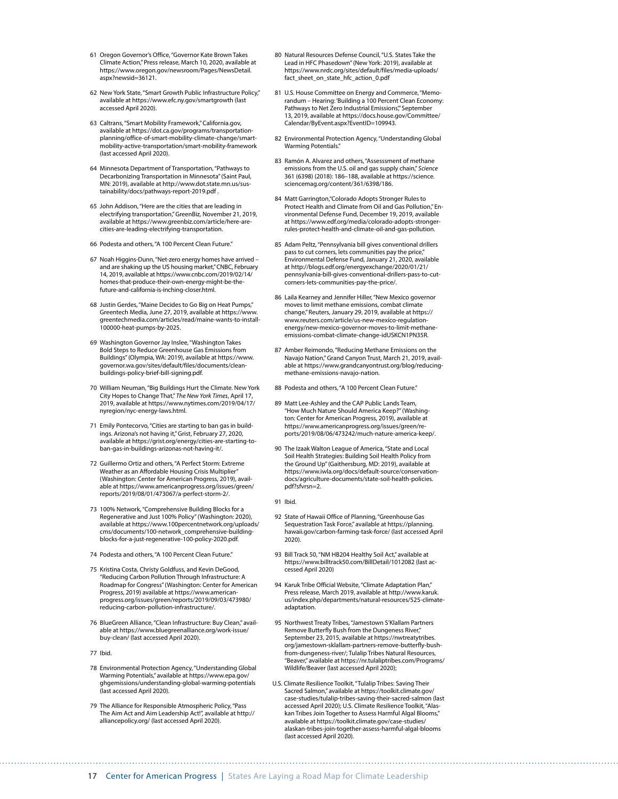- 61 Oregon Governor's Office, "Governor Kate Brown Takes Climate Action," Press release, March 10, 2020, available at [https://www.oregon.gov/newsroom/Pages/NewsDetail.](https://www.oregon.gov/newsroom/Pages/NewsDetail.aspx?newsid=36121) [aspx?newsid=36121.](https://www.oregon.gov/newsroom/Pages/NewsDetail.aspx?newsid=36121)
- 62 New York State, "Smart Growth Public Infrastructure Policy," available at<https://www.efc.ny.gov/smartgrowth> (last accessed April 2020).
- 63 Caltrans, "Smart Mobility Framework," California.gov, available at [https://dot.ca.gov/programs/transportation](https://dot.ca.gov/programs/transportation-planning/office-of-smart-mobility-climate-change/smart-mobility-active-transportation/smart-mobility-framework)[planning/office-of-smart-mobility-climate-change/smart](https://dot.ca.gov/programs/transportation-planning/office-of-smart-mobility-climate-change/smart-mobility-active-transportation/smart-mobility-framework)[mobility-active-transportation/smart-mobility-framework](https://dot.ca.gov/programs/transportation-planning/office-of-smart-mobility-climate-change/smart-mobility-active-transportation/smart-mobility-framework) (last accessed April 2020).
- 64 Minnesota Department of Transportation, "Pathways to Decarbonizing Transportation in Minnesota" (Saint Paul, MN: 2019), available at [http://www.dot.state.mn.us/sus](http://www.dot.state.mn.us/sustainability/docs/pathways-report-2019.pdf)[tainability/docs/pathways-report-2019.pdf](http://www.dot.state.mn.us/sustainability/docs/pathways-report-2019.pdf) .
- 65 John Addison, "Here are the cities that are leading in electrifying transportation," GreenBiz, November 21, 2019, available at [https://www.greenbiz.com/article/here-are](https://www.greenbiz.com/article/here-are-cities-are-leading-electrifying-transportation)[cities-are-leading-electrifying-transportation.](https://www.greenbiz.com/article/here-are-cities-are-leading-electrifying-transportation)
- 66 Podesta and others, "A 100 Percent Clean Future."
- 67 Noah Higgins-Dunn, "Net-zero energy homes have arrived and are shaking up the US housing market," CNBC, February 14, 2019, available at [https://www.cnbc.com/2019/02/14/](https://www.cnbc.com/2019/02/14/homes-that-produce-their-own-energy-might-be-the-future-and-california-is-inching-closer.html) [homes-that-produce-their-own-energy-might-be-the](https://www.cnbc.com/2019/02/14/homes-that-produce-their-own-energy-might-be-the-future-and-california-is-inching-closer.html)[future-and-california-is-inching-closer.html](https://www.cnbc.com/2019/02/14/homes-that-produce-their-own-energy-might-be-the-future-and-california-is-inching-closer.html).
- 68 Justin Gerdes, "Maine Decides to Go Big on Heat Pumps," Greentech Media, June 27, 2019, available at [https://www.](https://www.greentechmedia.com/articles/read/maine-wants-to-install-100000-heat-pumps-by-2025) [greentechmedia.com/articles/read/maine-wants-to-install-](https://www.greentechmedia.com/articles/read/maine-wants-to-install-100000-heat-pumps-by-2025)[100000-heat-pumps-by-2025](https://www.greentechmedia.com/articles/read/maine-wants-to-install-100000-heat-pumps-by-2025).
- 69 Washington Governor Jay Inslee, "Washington Takes Bold Steps to Reduce Greenhouse Gas Emissions from Buildings" (Olympia, WA: 2019), available at [https://www.](https://www.governor.wa.gov/sites/default/files/documents/clean-buildings-policy-brief-bill-signing.pdf) [governor.wa.gov/sites/default/files/documents/clean](https://www.governor.wa.gov/sites/default/files/documents/clean-buildings-policy-brief-bill-signing.pdf)[buildings-policy-brief-bill-signing.pdf.](https://www.governor.wa.gov/sites/default/files/documents/clean-buildings-policy-brief-bill-signing.pdf)
- 70 William Neuman, "Big Buildings Hurt the Climate. New York City Hopes to Change That," *The New York Times*, April 17, 2019, available at [https://www.nytimes.com/2019/04/17/](https://www.nytimes.com/2019/04/17/nyregion/nyc-energy-laws.html) [nyregion/nyc-energy-laws.html.](https://www.nytimes.com/2019/04/17/nyregion/nyc-energy-laws.html)
- 71 Emily Pontecorvo, "Cities are starting to ban gas in buildings. Arizona's not having it," Grist, February 27, 2020, available at [https://grist.org/energy/cities-are-starting-to](https://grist.org/energy/cities-are-starting-to-ban-gas-in-buildings-arizonas-not-having-it/)[ban-gas-in-buildings-arizonas-not-having-it/.](https://grist.org/energy/cities-are-starting-to-ban-gas-in-buildings-arizonas-not-having-it/)
- 72 Guillermo Ortiz and others, "A Perfect Storm: Extreme Weather as an Affordable Housing Crisis Multiplier" (Washington: Center for American Progress, 2019), available at [https://www.americanprogress.org/issues/green/](https://www.americanprogress.org/issues/green/reports/2019/08/01/473067/a-perfect-storm-2/) [reports/2019/08/01/473067/a-perfect-storm-2/](https://www.americanprogress.org/issues/green/reports/2019/08/01/473067/a-perfect-storm-2/).
- 73 100% Network, "Comprehensive Building Blocks for a Regenerative and Just 100% Policy" (Washington: 2020), available at [https://www.100percentnetwork.org/uploads/](https://www.100percentnetwork.org/uploads/cms/documents/100-network_comprehensive-building-blocks-for-a-just-regenerative-100-policy-2020.pdf) [cms/documents/100-network\\_comprehensive-building](https://www.100percentnetwork.org/uploads/cms/documents/100-network_comprehensive-building-blocks-for-a-just-regenerative-100-policy-2020.pdf)[blocks-for-a-just-regenerative-100-policy-2020.pdf](https://www.100percentnetwork.org/uploads/cms/documents/100-network_comprehensive-building-blocks-for-a-just-regenerative-100-policy-2020.pdf).
- 74 Podesta and others, "A 100 Percent Clean Future."
- 75 Kristina Costa, Christy Goldfuss, and Kevin DeGood, "Reducing Carbon Pollution Through Infrastructure: A Roadmap for Congress" (Washington: Center for American Progress, 2019) available at [https://www.american](https://www.americanprogress.org/issues/green/reports/2019/09/03/473980/reducing-carbon-pollution-infrastructure/)[progress.org/issues/green/reports/2019/09/03/473980/](https://www.americanprogress.org/issues/green/reports/2019/09/03/473980/reducing-carbon-pollution-infrastructure/) [reducing-carbon-pollution-infrastructure/](https://www.americanprogress.org/issues/green/reports/2019/09/03/473980/reducing-carbon-pollution-infrastructure/).
- 76 BlueGreen Alliance, "Clean Infrastructure: Buy Clean," available at [https://www.bluegreenalliance.org/work-issue/](https://www.bluegreenalliance.org/work-issue/buy-clean/) [buy-clean/](https://www.bluegreenalliance.org/work-issue/buy-clean/) (last accessed April 2020).
- 77 Ibid.
- 78 Environmental Protection Agency, "Understanding Global Warming Potentials," available at [https://www.epa.gov/](https://www.epa.gov/ghgemissions/understanding-global-warming-potentials) [ghgemissions/understanding-global-warming-potentials](https://www.epa.gov/ghgemissions/understanding-global-warming-potentials) (last accessed April 2020).
- 79 The Alliance for Responsible Atmospheric Policy, "Pass The Aim Act and Aim Leadership Act!", available at [http://](http://alliancepolicy.org/) [alliancepolicy.org/](http://alliancepolicy.org/) (last accessed April 2020).
- 80 Natural Resources Defense Council, "U.S. States Take the Lead in HFC Phasedown" (New York: 2019), available at [https://www.nrdc.org/sites/default/files/media-uploads/](https://www.nrdc.org/sites/default/files/media-uploads/fact_sheet_on_state_hfc_action_0.pdf) [fact\\_sheet\\_on\\_state\\_hfc\\_action\\_0.pdf](https://www.nrdc.org/sites/default/files/media-uploads/fact_sheet_on_state_hfc_action_0.pdf)
- 81 U.S. House Committee on Energy and Commerce, "Memorandum – Hearing: 'Building a 100 Percent Clean Economy: Pathways to Net Zero Industrial Emissions." September 13, 2019, available at [https://docs.house.gov/Committee/](https://docs.house.gov/Committee/Calendar/ByEvent.aspx?EventID=109943) [Calendar/ByEvent.aspx?EventID=109943](https://docs.house.gov/Committee/Calendar/ByEvent.aspx?EventID=109943).
- 82 Environmental Protection Agency, "Understanding Global Warming Potentials."
- 83 Ramón A. Alvarez and others, "Assesssment of methane emissions from the U.S. oil and gas supply chain," *Science* 361 (6398) (2018): 186–188, available at [https://science.](https://science.sciencemag.org/content/361/6398/186) [sciencemag.org/content/361/6398/186](https://science.sciencemag.org/content/361/6398/186).
- Matt Garrington,"Colorado Adopts Stronger Rules to Protect Health and Climate from Oil and Gas Pollution," Environmental Defense Fund, December 19, 2019, available at [https://www.edf.org/media/colorado-adopts-stronger](https://www.edf.org/media/colorado-adopts-stronger-rules-protect-health-and-climate-oil-and-gas-pollution)[rules-protect-health-and-climate-oil-and-gas-pollution](https://www.edf.org/media/colorado-adopts-stronger-rules-protect-health-and-climate-oil-and-gas-pollution).
- 85 Adam Peltz, "Pennsylvania bill gives conventional drillers pass to cut corners, lets communities pay the price," Environmental Defense Fund, January 21, 2020, available at [http://blogs.edf.org/energyexchange/2020/01/21/](http://blogs.edf.org/energyexchange/2020/01/21/pennsylvania-bill-gives-conventional-drillers-pass-to-cut-corners-lets-communities-pay-the-price/) [pennsylvania-bill-gives-conventional-drillers-pass-to-cut](http://blogs.edf.org/energyexchange/2020/01/21/pennsylvania-bill-gives-conventional-drillers-pass-to-cut-corners-lets-communities-pay-the-price/)[corners-lets-communities-pay-the-price/](http://blogs.edf.org/energyexchange/2020/01/21/pennsylvania-bill-gives-conventional-drillers-pass-to-cut-corners-lets-communities-pay-the-price/).
- 86 Laila Kearney and Jennifer Hiller, "New Mexico governor moves to limit methane emissions, combat climate change," Reuters, January 29, 2019, available at [https://](https://www.reuters.com/article/us-new-mexico-regulation-energy/new-mexico-governor-moves-to-limit-methane-emissions-combat-climate-change-idUSKCN1PN35R) [www.reuters.com/article/us-new-mexico-regulation](https://www.reuters.com/article/us-new-mexico-regulation-energy/new-mexico-governor-moves-to-limit-methane-emissions-combat-climate-change-idUSKCN1PN35R)[energy/new-mexico-governor-moves-to-limit-methane](https://www.reuters.com/article/us-new-mexico-regulation-energy/new-mexico-governor-moves-to-limit-methane-emissions-combat-climate-change-idUSKCN1PN35R)[emissions-combat-climate-change-idUSKCN1PN35R](https://www.reuters.com/article/us-new-mexico-regulation-energy/new-mexico-governor-moves-to-limit-methane-emissions-combat-climate-change-idUSKCN1PN35R).
- 87 Amber Reimondo, "Reducing Methane Emissions on the Navajo Nation," Grand Canyon Trust, March 21, 2019, available at [https://www.grandcanyontrust.org/blog/reducing](https://www.grandcanyontrust.org/blog/reducing-methane-emissions-navajo-nation)[methane-emissions-navajo-nation](https://www.grandcanyontrust.org/blog/reducing-methane-emissions-navajo-nation).
- 88 Podesta and others, "A 100 Percent Clean Future."
- 89 Matt Lee-Ashley and the CAP Public Lands Team, "How Much Nature Should America Keep?" (Washington: Center for American Progress, 2019), available at [https://www.americanprogress.org/issues/green/re](https://www.americanprogress.org/issues/green/reports/2019/08/06/473242/much-nature-america-keep/)[ports/2019/08/06/473242/much-nature-america-keep/.](https://www.americanprogress.org/issues/green/reports/2019/08/06/473242/much-nature-america-keep/)
- 90 The Izaak Walton League of America, "State and Local Soil Health Strategies: Building Soil Health Policy from the Ground Up" (Gaithersburg, MD: 2019), available at [https://www.iwla.org/docs/default-source/conservation](https://www.iwla.org/docs/default-source/conservation-docs/agriculture-documents/state-soil-health-policies.pdf?sfvrsn=2)[docs/agriculture-documents/state-soil-health-policies.](https://www.iwla.org/docs/default-source/conservation-docs/agriculture-documents/state-soil-health-policies.pdf?sfvrsn=2) [pdf?sfvrsn=2](https://www.iwla.org/docs/default-source/conservation-docs/agriculture-documents/state-soil-health-policies.pdf?sfvrsn=2).
- 91 Ibid.
- 92 State of Hawaii Office of Planning, "Greenhouse Gas Sequestration Task Force," available at [https://planning.](https://planning.hawaii.gov/carbon-farming-task-force/) [hawaii.gov/carbon-farming-task-force/](https://planning.hawaii.gov/carbon-farming-task-force/) (last accessed April 2020).
- 93 Bill Track 50, "NM HB204 Healthy Soil Act," available at <https://www.billtrack50.com/BillDetail/1012082>(last accessed April 2020)
- 94 Karuk Tribe Official Website, "Climate Adaptation Plan," Press release, March 2019, available at [http://www.karuk.](http://www.karuk.us/index.php/departments/natural-resources/525-climate-adaptation) [us/index.php/departments/natural-resources/525-climate](http://www.karuk.us/index.php/departments/natural-resources/525-climate-adaptation)[adaptation.](http://www.karuk.us/index.php/departments/natural-resources/525-climate-adaptation)
- 95 Northwest Treaty Tribes, "Jamestown S'Klallam Partners Remove Butterfly Bush from the Dungeness River," September 23, 2015, available at [https://nwtreatytribes.](https://nwtreatytribes.org/jamestown-sklallam-partners-remove-butterfly-bush-from-dungeness-river/) [org/jamestown-sklallam-partners-remove-butterfly-bush](https://nwtreatytribes.org/jamestown-sklallam-partners-remove-butterfly-bush-from-dungeness-river/)[from-dungeness-river/](https://nwtreatytribes.org/jamestown-sklallam-partners-remove-butterfly-bush-from-dungeness-river/); Tulalip Tribes Natural Resources, "Beaver," available at [https://nr.tulaliptribes.com/Programs/](https://nr.tulaliptribes.com/Programs/Wildlife/Beaver) [Wildlife/Beaver](https://nr.tulaliptribes.com/Programs/Wildlife/Beaver) (last accessed April 2020);
- U.S. Climate Resilience Toolkit, "Tulalip Tribes: Saving Their Sacred Salmon," available at [https://toolkit.climate.gov/](https://toolkit.climate.gov/case-studies/tulalip-tribes-saving-their-sacred-salmon) [case-studies/tulalip-tribes-saving-their-sacred-salmon](https://toolkit.climate.gov/case-studies/tulalip-tribes-saving-their-sacred-salmon) (last accessed April 2020); U.S. Climate Resilience Toolkit, "Alaskan Tribes Join Together to Assess Harmful Algal Blooms," available at [https://toolkit.climate.gov/case-studies/](https://toolkit.climate.gov/case-studies/alaskan-tribes-join-together-assess-harmful-algal-blooms) [alaskan-tribes-join-together-assess-harmful-algal-blooms](https://toolkit.climate.gov/case-studies/alaskan-tribes-join-together-assess-harmful-algal-blooms) (last accessed April 2020).